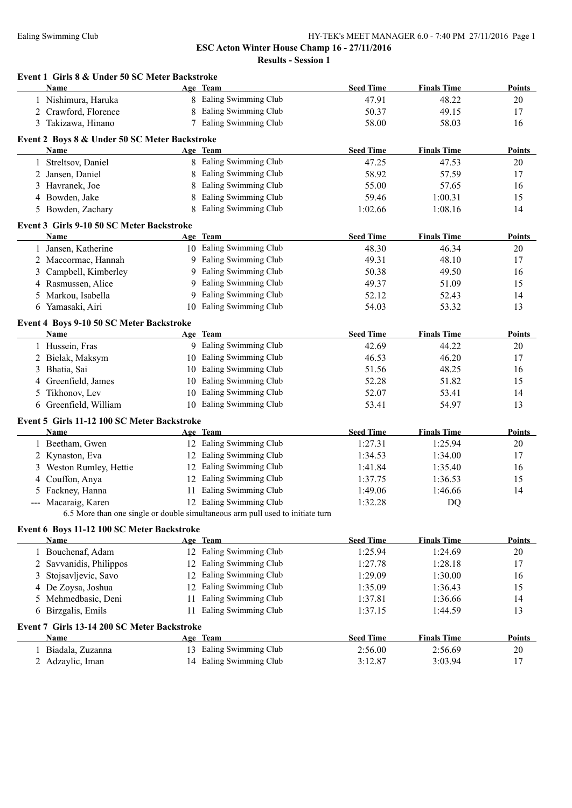**Results - Session 1**

| 8 Ealing Swimming Club<br>47.91<br>48.22<br>1 Nishimura, Haruka<br>8 Ealing Swimming Club<br>2 Crawford, Florence<br>50.37<br>49.15<br>7 Ealing Swimming Club<br>3 Takizawa, Hinano<br>58.00<br>58.03<br>Event 2 Boys 8 & Under 50 SC Meter Backstroke<br><b>Seed Time</b><br><b>Finals Time</b><br>Age Team<br>Name<br>8 Ealing Swimming Club<br>1 Streltsov, Daniel<br>47.25<br>47.53<br>Ealing Swimming Club<br>2 Jansen, Daniel<br>58.92<br>57.59<br>8<br>Ealing Swimming Club<br>3 Havranek, Joe<br>55.00<br>8<br>57.65<br>Ealing Swimming Club<br>4 Bowden, Jake<br>59.46<br>8<br>1:00.31<br>Ealing Swimming Club<br>1:08.16<br>5 Bowden, Zachary<br>8<br>1:02.66<br>Event 3 Girls 9-10 50 SC Meter Backstroke<br>Age Team<br><b>Seed Time</b><br><b>Finals Time</b><br>Name<br>10 Ealing Swimming Club<br>1 Jansen, Katherine<br>48.30<br>46.34<br>9 Ealing Swimming Club<br>2 Maccormac, Hannah<br>48.10<br>49.31<br>9 Ealing Swimming Club<br>3 Campbell, Kimberley<br>49.50<br>50.38<br>9 Ealing Swimming Club<br>4 Rasmussen, Alice<br>49.37<br>51.09<br>9 Ealing Swimming Club<br>5 Markou, Isabella<br>52.43<br>52.12<br>10 Ealing Swimming Club<br>6 Yamasaki, Airi<br>54.03<br>53.32<br>Event 4 Boys 9-10 50 SC Meter Backstroke<br><b>Seed Time</b><br><b>Finals Time</b><br>Age Team<br><b>Name</b><br>9 Ealing Swimming Club<br>42.69<br>44.22<br>1 Hussein, Fras<br>10 Ealing Swimming Club<br>46.20<br>2 Bielak, Maksym<br>46.53<br>10 Ealing Swimming Club<br>48.25<br>3 Bhatia, Sai<br>51.56<br>10 Ealing Swimming Club<br>Greenfield, James<br>52.28<br>51.82<br>4<br>10 Ealing Swimming Club<br>Tikhonov, Lev<br>53.41<br>52.07<br>5<br>Greenfield, William<br>10 Ealing Swimming Club<br>53.41<br>54.97<br>6<br>Event 5 Girls 11-12 100 SC Meter Backstroke<br>Age Team<br><b>Seed Time</b><br><b>Finals Time</b><br><b>Name</b><br>1 Beetham, Gwen<br>12 Ealing Swimming Club<br>1:27.31<br>1:25.94<br>12 Ealing Swimming Club<br>2 Kynaston, Eva<br>1:34.53<br>1:34.00<br>12 Ealing Swimming Club<br>3 Weston Rumley, Hettie<br>1:41.84<br>1:35.40<br>12 Ealing Swimming Club<br>4 Couffon, Anya<br>1:37.75<br>1:36.53<br>11 Ealing Swimming Club<br>5 Fackney, Hanna<br>1:49.06<br>1:46.66<br>12 Ealing Swimming Club<br>--- Macaraig, Karen<br>DQ<br>1:32.28<br>6.5 More than one single or double simultaneous arm pull used to initiate turn<br>Event 6 Boys 11-12 100 SC Meter Backstroke<br><b>Seed Time</b><br><b>Finals Time</b><br><b>Name</b><br>Age Team<br>12 Ealing Swimming Club<br>1 Bouchenaf, Adam<br>1:25.94<br>1:24.69<br>12 Ealing Swimming Club<br>Savvanidis, Philippos<br>1:27.78<br>1:28.18<br>2<br>12 Ealing Swimming Club<br>Stojsavljevic, Savo<br>1:29.09<br>1:30.00<br>3<br>Ealing Swimming Club<br>De Zoysa, Joshua<br>1:35.09<br>1:36.43<br>12<br>4<br>Ealing Swimming Club<br>Mehmedbasic, Deni<br>1:37.81<br>1:36.66<br>11<br>5<br>Birzgalis, Emils<br>11 Ealing Swimming Club<br>1:37.15<br>1:44.59<br>6<br>Event 7 Girls 13-14 200 SC Meter Backstroke<br><b>Seed Time</b><br><b>Finals Time</b><br><b>Name</b><br>Age Team<br>13 Ealing Swimming Club<br>1 Biadala, Zuzanna<br>2:56.00<br>2:56.69 | Event 1 Girls 8 & Under 50 SC Meter Backstroke<br>Name | Age Team                | <b>Seed Time</b> | <b>Finals Time</b> | <b>Points</b> |
|------------------------------------------------------------------------------------------------------------------------------------------------------------------------------------------------------------------------------------------------------------------------------------------------------------------------------------------------------------------------------------------------------------------------------------------------------------------------------------------------------------------------------------------------------------------------------------------------------------------------------------------------------------------------------------------------------------------------------------------------------------------------------------------------------------------------------------------------------------------------------------------------------------------------------------------------------------------------------------------------------------------------------------------------------------------------------------------------------------------------------------------------------------------------------------------------------------------------------------------------------------------------------------------------------------------------------------------------------------------------------------------------------------------------------------------------------------------------------------------------------------------------------------------------------------------------------------------------------------------------------------------------------------------------------------------------------------------------------------------------------------------------------------------------------------------------------------------------------------------------------------------------------------------------------------------------------------------------------------------------------------------------------------------------------------------------------------------------------------------------------------------------------------------------------------------------------------------------------------------------------------------------------------------------------------------------------------------------------------------------------------------------------------------------------------------------------------------------------------------------------------------------------------------------------------------------------------------------------------------------------------------------------------------------------------------------------------------------------------------------------------------------------------------------------------------------------------------------------------------------------------------------------------------------------------------------------------------------------------------------------------------------------------------------------------------------------------------------------------------------------------------------------------------|--------------------------------------------------------|-------------------------|------------------|--------------------|---------------|
|                                                                                                                                                                                                                                                                                                                                                                                                                                                                                                                                                                                                                                                                                                                                                                                                                                                                                                                                                                                                                                                                                                                                                                                                                                                                                                                                                                                                                                                                                                                                                                                                                                                                                                                                                                                                                                                                                                                                                                                                                                                                                                                                                                                                                                                                                                                                                                                                                                                                                                                                                                                                                                                                                                                                                                                                                                                                                                                                                                                                                                                                                                                                                                  |                                                        |                         |                  |                    | 20            |
|                                                                                                                                                                                                                                                                                                                                                                                                                                                                                                                                                                                                                                                                                                                                                                                                                                                                                                                                                                                                                                                                                                                                                                                                                                                                                                                                                                                                                                                                                                                                                                                                                                                                                                                                                                                                                                                                                                                                                                                                                                                                                                                                                                                                                                                                                                                                                                                                                                                                                                                                                                                                                                                                                                                                                                                                                                                                                                                                                                                                                                                                                                                                                                  |                                                        |                         |                  |                    | 17            |
|                                                                                                                                                                                                                                                                                                                                                                                                                                                                                                                                                                                                                                                                                                                                                                                                                                                                                                                                                                                                                                                                                                                                                                                                                                                                                                                                                                                                                                                                                                                                                                                                                                                                                                                                                                                                                                                                                                                                                                                                                                                                                                                                                                                                                                                                                                                                                                                                                                                                                                                                                                                                                                                                                                                                                                                                                                                                                                                                                                                                                                                                                                                                                                  |                                                        |                         |                  |                    | 16            |
|                                                                                                                                                                                                                                                                                                                                                                                                                                                                                                                                                                                                                                                                                                                                                                                                                                                                                                                                                                                                                                                                                                                                                                                                                                                                                                                                                                                                                                                                                                                                                                                                                                                                                                                                                                                                                                                                                                                                                                                                                                                                                                                                                                                                                                                                                                                                                                                                                                                                                                                                                                                                                                                                                                                                                                                                                                                                                                                                                                                                                                                                                                                                                                  |                                                        |                         |                  |                    |               |
|                                                                                                                                                                                                                                                                                                                                                                                                                                                                                                                                                                                                                                                                                                                                                                                                                                                                                                                                                                                                                                                                                                                                                                                                                                                                                                                                                                                                                                                                                                                                                                                                                                                                                                                                                                                                                                                                                                                                                                                                                                                                                                                                                                                                                                                                                                                                                                                                                                                                                                                                                                                                                                                                                                                                                                                                                                                                                                                                                                                                                                                                                                                                                                  |                                                        |                         |                  |                    | <b>Points</b> |
|                                                                                                                                                                                                                                                                                                                                                                                                                                                                                                                                                                                                                                                                                                                                                                                                                                                                                                                                                                                                                                                                                                                                                                                                                                                                                                                                                                                                                                                                                                                                                                                                                                                                                                                                                                                                                                                                                                                                                                                                                                                                                                                                                                                                                                                                                                                                                                                                                                                                                                                                                                                                                                                                                                                                                                                                                                                                                                                                                                                                                                                                                                                                                                  |                                                        |                         |                  |                    | 20            |
|                                                                                                                                                                                                                                                                                                                                                                                                                                                                                                                                                                                                                                                                                                                                                                                                                                                                                                                                                                                                                                                                                                                                                                                                                                                                                                                                                                                                                                                                                                                                                                                                                                                                                                                                                                                                                                                                                                                                                                                                                                                                                                                                                                                                                                                                                                                                                                                                                                                                                                                                                                                                                                                                                                                                                                                                                                                                                                                                                                                                                                                                                                                                                                  |                                                        |                         |                  |                    | 17            |
|                                                                                                                                                                                                                                                                                                                                                                                                                                                                                                                                                                                                                                                                                                                                                                                                                                                                                                                                                                                                                                                                                                                                                                                                                                                                                                                                                                                                                                                                                                                                                                                                                                                                                                                                                                                                                                                                                                                                                                                                                                                                                                                                                                                                                                                                                                                                                                                                                                                                                                                                                                                                                                                                                                                                                                                                                                                                                                                                                                                                                                                                                                                                                                  |                                                        |                         |                  |                    | 16            |
|                                                                                                                                                                                                                                                                                                                                                                                                                                                                                                                                                                                                                                                                                                                                                                                                                                                                                                                                                                                                                                                                                                                                                                                                                                                                                                                                                                                                                                                                                                                                                                                                                                                                                                                                                                                                                                                                                                                                                                                                                                                                                                                                                                                                                                                                                                                                                                                                                                                                                                                                                                                                                                                                                                                                                                                                                                                                                                                                                                                                                                                                                                                                                                  |                                                        |                         |                  |                    | 15            |
|                                                                                                                                                                                                                                                                                                                                                                                                                                                                                                                                                                                                                                                                                                                                                                                                                                                                                                                                                                                                                                                                                                                                                                                                                                                                                                                                                                                                                                                                                                                                                                                                                                                                                                                                                                                                                                                                                                                                                                                                                                                                                                                                                                                                                                                                                                                                                                                                                                                                                                                                                                                                                                                                                                                                                                                                                                                                                                                                                                                                                                                                                                                                                                  |                                                        |                         |                  |                    | 14            |
|                                                                                                                                                                                                                                                                                                                                                                                                                                                                                                                                                                                                                                                                                                                                                                                                                                                                                                                                                                                                                                                                                                                                                                                                                                                                                                                                                                                                                                                                                                                                                                                                                                                                                                                                                                                                                                                                                                                                                                                                                                                                                                                                                                                                                                                                                                                                                                                                                                                                                                                                                                                                                                                                                                                                                                                                                                                                                                                                                                                                                                                                                                                                                                  |                                                        |                         |                  |                    |               |
|                                                                                                                                                                                                                                                                                                                                                                                                                                                                                                                                                                                                                                                                                                                                                                                                                                                                                                                                                                                                                                                                                                                                                                                                                                                                                                                                                                                                                                                                                                                                                                                                                                                                                                                                                                                                                                                                                                                                                                                                                                                                                                                                                                                                                                                                                                                                                                                                                                                                                                                                                                                                                                                                                                                                                                                                                                                                                                                                                                                                                                                                                                                                                                  |                                                        |                         |                  |                    |               |
|                                                                                                                                                                                                                                                                                                                                                                                                                                                                                                                                                                                                                                                                                                                                                                                                                                                                                                                                                                                                                                                                                                                                                                                                                                                                                                                                                                                                                                                                                                                                                                                                                                                                                                                                                                                                                                                                                                                                                                                                                                                                                                                                                                                                                                                                                                                                                                                                                                                                                                                                                                                                                                                                                                                                                                                                                                                                                                                                                                                                                                                                                                                                                                  |                                                        |                         |                  |                    | <b>Points</b> |
|                                                                                                                                                                                                                                                                                                                                                                                                                                                                                                                                                                                                                                                                                                                                                                                                                                                                                                                                                                                                                                                                                                                                                                                                                                                                                                                                                                                                                                                                                                                                                                                                                                                                                                                                                                                                                                                                                                                                                                                                                                                                                                                                                                                                                                                                                                                                                                                                                                                                                                                                                                                                                                                                                                                                                                                                                                                                                                                                                                                                                                                                                                                                                                  |                                                        |                         |                  |                    | 20            |
|                                                                                                                                                                                                                                                                                                                                                                                                                                                                                                                                                                                                                                                                                                                                                                                                                                                                                                                                                                                                                                                                                                                                                                                                                                                                                                                                                                                                                                                                                                                                                                                                                                                                                                                                                                                                                                                                                                                                                                                                                                                                                                                                                                                                                                                                                                                                                                                                                                                                                                                                                                                                                                                                                                                                                                                                                                                                                                                                                                                                                                                                                                                                                                  |                                                        |                         |                  |                    | 17            |
|                                                                                                                                                                                                                                                                                                                                                                                                                                                                                                                                                                                                                                                                                                                                                                                                                                                                                                                                                                                                                                                                                                                                                                                                                                                                                                                                                                                                                                                                                                                                                                                                                                                                                                                                                                                                                                                                                                                                                                                                                                                                                                                                                                                                                                                                                                                                                                                                                                                                                                                                                                                                                                                                                                                                                                                                                                                                                                                                                                                                                                                                                                                                                                  |                                                        |                         |                  |                    | 16            |
|                                                                                                                                                                                                                                                                                                                                                                                                                                                                                                                                                                                                                                                                                                                                                                                                                                                                                                                                                                                                                                                                                                                                                                                                                                                                                                                                                                                                                                                                                                                                                                                                                                                                                                                                                                                                                                                                                                                                                                                                                                                                                                                                                                                                                                                                                                                                                                                                                                                                                                                                                                                                                                                                                                                                                                                                                                                                                                                                                                                                                                                                                                                                                                  |                                                        |                         |                  |                    | 15            |
|                                                                                                                                                                                                                                                                                                                                                                                                                                                                                                                                                                                                                                                                                                                                                                                                                                                                                                                                                                                                                                                                                                                                                                                                                                                                                                                                                                                                                                                                                                                                                                                                                                                                                                                                                                                                                                                                                                                                                                                                                                                                                                                                                                                                                                                                                                                                                                                                                                                                                                                                                                                                                                                                                                                                                                                                                                                                                                                                                                                                                                                                                                                                                                  |                                                        |                         |                  |                    | 14            |
|                                                                                                                                                                                                                                                                                                                                                                                                                                                                                                                                                                                                                                                                                                                                                                                                                                                                                                                                                                                                                                                                                                                                                                                                                                                                                                                                                                                                                                                                                                                                                                                                                                                                                                                                                                                                                                                                                                                                                                                                                                                                                                                                                                                                                                                                                                                                                                                                                                                                                                                                                                                                                                                                                                                                                                                                                                                                                                                                                                                                                                                                                                                                                                  |                                                        |                         |                  |                    | 13            |
|                                                                                                                                                                                                                                                                                                                                                                                                                                                                                                                                                                                                                                                                                                                                                                                                                                                                                                                                                                                                                                                                                                                                                                                                                                                                                                                                                                                                                                                                                                                                                                                                                                                                                                                                                                                                                                                                                                                                                                                                                                                                                                                                                                                                                                                                                                                                                                                                                                                                                                                                                                                                                                                                                                                                                                                                                                                                                                                                                                                                                                                                                                                                                                  |                                                        |                         |                  |                    |               |
|                                                                                                                                                                                                                                                                                                                                                                                                                                                                                                                                                                                                                                                                                                                                                                                                                                                                                                                                                                                                                                                                                                                                                                                                                                                                                                                                                                                                                                                                                                                                                                                                                                                                                                                                                                                                                                                                                                                                                                                                                                                                                                                                                                                                                                                                                                                                                                                                                                                                                                                                                                                                                                                                                                                                                                                                                                                                                                                                                                                                                                                                                                                                                                  |                                                        |                         |                  |                    | <b>Points</b> |
|                                                                                                                                                                                                                                                                                                                                                                                                                                                                                                                                                                                                                                                                                                                                                                                                                                                                                                                                                                                                                                                                                                                                                                                                                                                                                                                                                                                                                                                                                                                                                                                                                                                                                                                                                                                                                                                                                                                                                                                                                                                                                                                                                                                                                                                                                                                                                                                                                                                                                                                                                                                                                                                                                                                                                                                                                                                                                                                                                                                                                                                                                                                                                                  |                                                        |                         |                  |                    | 20            |
|                                                                                                                                                                                                                                                                                                                                                                                                                                                                                                                                                                                                                                                                                                                                                                                                                                                                                                                                                                                                                                                                                                                                                                                                                                                                                                                                                                                                                                                                                                                                                                                                                                                                                                                                                                                                                                                                                                                                                                                                                                                                                                                                                                                                                                                                                                                                                                                                                                                                                                                                                                                                                                                                                                                                                                                                                                                                                                                                                                                                                                                                                                                                                                  |                                                        |                         |                  |                    | 17            |
|                                                                                                                                                                                                                                                                                                                                                                                                                                                                                                                                                                                                                                                                                                                                                                                                                                                                                                                                                                                                                                                                                                                                                                                                                                                                                                                                                                                                                                                                                                                                                                                                                                                                                                                                                                                                                                                                                                                                                                                                                                                                                                                                                                                                                                                                                                                                                                                                                                                                                                                                                                                                                                                                                                                                                                                                                                                                                                                                                                                                                                                                                                                                                                  |                                                        |                         |                  |                    | 16            |
|                                                                                                                                                                                                                                                                                                                                                                                                                                                                                                                                                                                                                                                                                                                                                                                                                                                                                                                                                                                                                                                                                                                                                                                                                                                                                                                                                                                                                                                                                                                                                                                                                                                                                                                                                                                                                                                                                                                                                                                                                                                                                                                                                                                                                                                                                                                                                                                                                                                                                                                                                                                                                                                                                                                                                                                                                                                                                                                                                                                                                                                                                                                                                                  |                                                        |                         |                  |                    | 15            |
|                                                                                                                                                                                                                                                                                                                                                                                                                                                                                                                                                                                                                                                                                                                                                                                                                                                                                                                                                                                                                                                                                                                                                                                                                                                                                                                                                                                                                                                                                                                                                                                                                                                                                                                                                                                                                                                                                                                                                                                                                                                                                                                                                                                                                                                                                                                                                                                                                                                                                                                                                                                                                                                                                                                                                                                                                                                                                                                                                                                                                                                                                                                                                                  |                                                        |                         |                  |                    | 14            |
|                                                                                                                                                                                                                                                                                                                                                                                                                                                                                                                                                                                                                                                                                                                                                                                                                                                                                                                                                                                                                                                                                                                                                                                                                                                                                                                                                                                                                                                                                                                                                                                                                                                                                                                                                                                                                                                                                                                                                                                                                                                                                                                                                                                                                                                                                                                                                                                                                                                                                                                                                                                                                                                                                                                                                                                                                                                                                                                                                                                                                                                                                                                                                                  |                                                        |                         |                  |                    | 13            |
|                                                                                                                                                                                                                                                                                                                                                                                                                                                                                                                                                                                                                                                                                                                                                                                                                                                                                                                                                                                                                                                                                                                                                                                                                                                                                                                                                                                                                                                                                                                                                                                                                                                                                                                                                                                                                                                                                                                                                                                                                                                                                                                                                                                                                                                                                                                                                                                                                                                                                                                                                                                                                                                                                                                                                                                                                                                                                                                                                                                                                                                                                                                                                                  |                                                        |                         |                  |                    |               |
|                                                                                                                                                                                                                                                                                                                                                                                                                                                                                                                                                                                                                                                                                                                                                                                                                                                                                                                                                                                                                                                                                                                                                                                                                                                                                                                                                                                                                                                                                                                                                                                                                                                                                                                                                                                                                                                                                                                                                                                                                                                                                                                                                                                                                                                                                                                                                                                                                                                                                                                                                                                                                                                                                                                                                                                                                                                                                                                                                                                                                                                                                                                                                                  |                                                        |                         |                  |                    | <b>Points</b> |
|                                                                                                                                                                                                                                                                                                                                                                                                                                                                                                                                                                                                                                                                                                                                                                                                                                                                                                                                                                                                                                                                                                                                                                                                                                                                                                                                                                                                                                                                                                                                                                                                                                                                                                                                                                                                                                                                                                                                                                                                                                                                                                                                                                                                                                                                                                                                                                                                                                                                                                                                                                                                                                                                                                                                                                                                                                                                                                                                                                                                                                                                                                                                                                  |                                                        |                         |                  |                    | 20            |
|                                                                                                                                                                                                                                                                                                                                                                                                                                                                                                                                                                                                                                                                                                                                                                                                                                                                                                                                                                                                                                                                                                                                                                                                                                                                                                                                                                                                                                                                                                                                                                                                                                                                                                                                                                                                                                                                                                                                                                                                                                                                                                                                                                                                                                                                                                                                                                                                                                                                                                                                                                                                                                                                                                                                                                                                                                                                                                                                                                                                                                                                                                                                                                  |                                                        |                         |                  |                    | 17            |
|                                                                                                                                                                                                                                                                                                                                                                                                                                                                                                                                                                                                                                                                                                                                                                                                                                                                                                                                                                                                                                                                                                                                                                                                                                                                                                                                                                                                                                                                                                                                                                                                                                                                                                                                                                                                                                                                                                                                                                                                                                                                                                                                                                                                                                                                                                                                                                                                                                                                                                                                                                                                                                                                                                                                                                                                                                                                                                                                                                                                                                                                                                                                                                  |                                                        |                         |                  |                    | 16            |
|                                                                                                                                                                                                                                                                                                                                                                                                                                                                                                                                                                                                                                                                                                                                                                                                                                                                                                                                                                                                                                                                                                                                                                                                                                                                                                                                                                                                                                                                                                                                                                                                                                                                                                                                                                                                                                                                                                                                                                                                                                                                                                                                                                                                                                                                                                                                                                                                                                                                                                                                                                                                                                                                                                                                                                                                                                                                                                                                                                                                                                                                                                                                                                  |                                                        |                         |                  |                    | 15            |
|                                                                                                                                                                                                                                                                                                                                                                                                                                                                                                                                                                                                                                                                                                                                                                                                                                                                                                                                                                                                                                                                                                                                                                                                                                                                                                                                                                                                                                                                                                                                                                                                                                                                                                                                                                                                                                                                                                                                                                                                                                                                                                                                                                                                                                                                                                                                                                                                                                                                                                                                                                                                                                                                                                                                                                                                                                                                                                                                                                                                                                                                                                                                                                  |                                                        |                         |                  |                    | 14            |
|                                                                                                                                                                                                                                                                                                                                                                                                                                                                                                                                                                                                                                                                                                                                                                                                                                                                                                                                                                                                                                                                                                                                                                                                                                                                                                                                                                                                                                                                                                                                                                                                                                                                                                                                                                                                                                                                                                                                                                                                                                                                                                                                                                                                                                                                                                                                                                                                                                                                                                                                                                                                                                                                                                                                                                                                                                                                                                                                                                                                                                                                                                                                                                  |                                                        |                         |                  |                    |               |
|                                                                                                                                                                                                                                                                                                                                                                                                                                                                                                                                                                                                                                                                                                                                                                                                                                                                                                                                                                                                                                                                                                                                                                                                                                                                                                                                                                                                                                                                                                                                                                                                                                                                                                                                                                                                                                                                                                                                                                                                                                                                                                                                                                                                                                                                                                                                                                                                                                                                                                                                                                                                                                                                                                                                                                                                                                                                                                                                                                                                                                                                                                                                                                  |                                                        |                         |                  |                    |               |
|                                                                                                                                                                                                                                                                                                                                                                                                                                                                                                                                                                                                                                                                                                                                                                                                                                                                                                                                                                                                                                                                                                                                                                                                                                                                                                                                                                                                                                                                                                                                                                                                                                                                                                                                                                                                                                                                                                                                                                                                                                                                                                                                                                                                                                                                                                                                                                                                                                                                                                                                                                                                                                                                                                                                                                                                                                                                                                                                                                                                                                                                                                                                                                  |                                                        |                         |                  |                    |               |
|                                                                                                                                                                                                                                                                                                                                                                                                                                                                                                                                                                                                                                                                                                                                                                                                                                                                                                                                                                                                                                                                                                                                                                                                                                                                                                                                                                                                                                                                                                                                                                                                                                                                                                                                                                                                                                                                                                                                                                                                                                                                                                                                                                                                                                                                                                                                                                                                                                                                                                                                                                                                                                                                                                                                                                                                                                                                                                                                                                                                                                                                                                                                                                  |                                                        |                         |                  |                    | <b>Points</b> |
|                                                                                                                                                                                                                                                                                                                                                                                                                                                                                                                                                                                                                                                                                                                                                                                                                                                                                                                                                                                                                                                                                                                                                                                                                                                                                                                                                                                                                                                                                                                                                                                                                                                                                                                                                                                                                                                                                                                                                                                                                                                                                                                                                                                                                                                                                                                                                                                                                                                                                                                                                                                                                                                                                                                                                                                                                                                                                                                                                                                                                                                                                                                                                                  |                                                        |                         |                  |                    | 20            |
|                                                                                                                                                                                                                                                                                                                                                                                                                                                                                                                                                                                                                                                                                                                                                                                                                                                                                                                                                                                                                                                                                                                                                                                                                                                                                                                                                                                                                                                                                                                                                                                                                                                                                                                                                                                                                                                                                                                                                                                                                                                                                                                                                                                                                                                                                                                                                                                                                                                                                                                                                                                                                                                                                                                                                                                                                                                                                                                                                                                                                                                                                                                                                                  |                                                        |                         |                  |                    | 17            |
|                                                                                                                                                                                                                                                                                                                                                                                                                                                                                                                                                                                                                                                                                                                                                                                                                                                                                                                                                                                                                                                                                                                                                                                                                                                                                                                                                                                                                                                                                                                                                                                                                                                                                                                                                                                                                                                                                                                                                                                                                                                                                                                                                                                                                                                                                                                                                                                                                                                                                                                                                                                                                                                                                                                                                                                                                                                                                                                                                                                                                                                                                                                                                                  |                                                        |                         |                  |                    | 16            |
|                                                                                                                                                                                                                                                                                                                                                                                                                                                                                                                                                                                                                                                                                                                                                                                                                                                                                                                                                                                                                                                                                                                                                                                                                                                                                                                                                                                                                                                                                                                                                                                                                                                                                                                                                                                                                                                                                                                                                                                                                                                                                                                                                                                                                                                                                                                                                                                                                                                                                                                                                                                                                                                                                                                                                                                                                                                                                                                                                                                                                                                                                                                                                                  |                                                        |                         |                  |                    | 15            |
|                                                                                                                                                                                                                                                                                                                                                                                                                                                                                                                                                                                                                                                                                                                                                                                                                                                                                                                                                                                                                                                                                                                                                                                                                                                                                                                                                                                                                                                                                                                                                                                                                                                                                                                                                                                                                                                                                                                                                                                                                                                                                                                                                                                                                                                                                                                                                                                                                                                                                                                                                                                                                                                                                                                                                                                                                                                                                                                                                                                                                                                                                                                                                                  |                                                        |                         |                  |                    | 14            |
|                                                                                                                                                                                                                                                                                                                                                                                                                                                                                                                                                                                                                                                                                                                                                                                                                                                                                                                                                                                                                                                                                                                                                                                                                                                                                                                                                                                                                                                                                                                                                                                                                                                                                                                                                                                                                                                                                                                                                                                                                                                                                                                                                                                                                                                                                                                                                                                                                                                                                                                                                                                                                                                                                                                                                                                                                                                                                                                                                                                                                                                                                                                                                                  |                                                        |                         |                  |                    | 13            |
|                                                                                                                                                                                                                                                                                                                                                                                                                                                                                                                                                                                                                                                                                                                                                                                                                                                                                                                                                                                                                                                                                                                                                                                                                                                                                                                                                                                                                                                                                                                                                                                                                                                                                                                                                                                                                                                                                                                                                                                                                                                                                                                                                                                                                                                                                                                                                                                                                                                                                                                                                                                                                                                                                                                                                                                                                                                                                                                                                                                                                                                                                                                                                                  |                                                        |                         |                  |                    |               |
|                                                                                                                                                                                                                                                                                                                                                                                                                                                                                                                                                                                                                                                                                                                                                                                                                                                                                                                                                                                                                                                                                                                                                                                                                                                                                                                                                                                                                                                                                                                                                                                                                                                                                                                                                                                                                                                                                                                                                                                                                                                                                                                                                                                                                                                                                                                                                                                                                                                                                                                                                                                                                                                                                                                                                                                                                                                                                                                                                                                                                                                                                                                                                                  |                                                        |                         |                  |                    | <b>Points</b> |
|                                                                                                                                                                                                                                                                                                                                                                                                                                                                                                                                                                                                                                                                                                                                                                                                                                                                                                                                                                                                                                                                                                                                                                                                                                                                                                                                                                                                                                                                                                                                                                                                                                                                                                                                                                                                                                                                                                                                                                                                                                                                                                                                                                                                                                                                                                                                                                                                                                                                                                                                                                                                                                                                                                                                                                                                                                                                                                                                                                                                                                                                                                                                                                  |                                                        |                         |                  |                    | 20            |
|                                                                                                                                                                                                                                                                                                                                                                                                                                                                                                                                                                                                                                                                                                                                                                                                                                                                                                                                                                                                                                                                                                                                                                                                                                                                                                                                                                                                                                                                                                                                                                                                                                                                                                                                                                                                                                                                                                                                                                                                                                                                                                                                                                                                                                                                                                                                                                                                                                                                                                                                                                                                                                                                                                                                                                                                                                                                                                                                                                                                                                                                                                                                                                  | 2 Adzaylic, Iman                                       | 14 Ealing Swimming Club | 3:12.87          | 3:03.94            | 17            |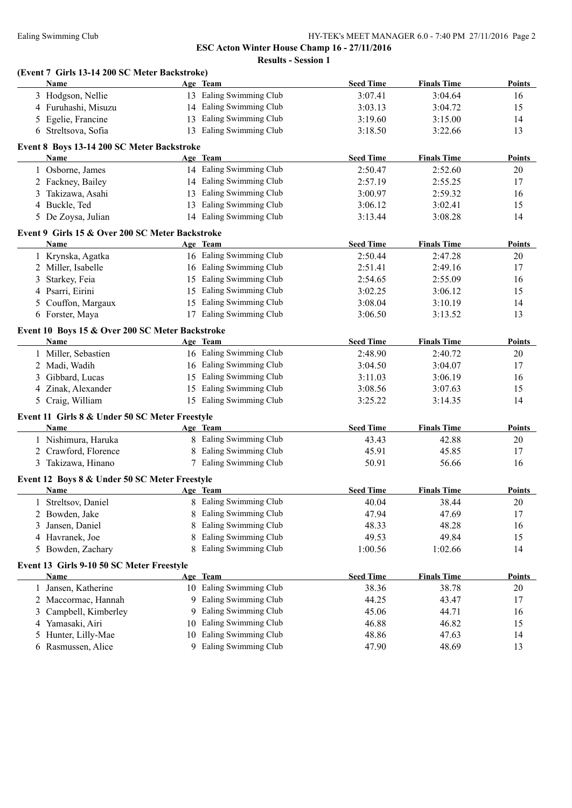**ESC Acton Winter House Champ 16 - 27/11/2016 Results - Session 1**

| <b>Name</b>         |                                                                                                                                                                                                                                                                                                                                                                                                                                                                                                                                                                                                         |                                                     | <b>Seed Time</b>                                                                                                                                                                                                                                                                                                                                                                                                                                                                                                                                                                                                                                                                                                                                                                                                                                                                                                                                                                                                                                                                                                                                                                                                                                                                                                          | <b>Finals Time</b>                                                                                                                                                                                                                                                                                                                                                                       | <b>Points</b>                                                                                                                                                                                                                                                                                                                                                                                          |
|---------------------|---------------------------------------------------------------------------------------------------------------------------------------------------------------------------------------------------------------------------------------------------------------------------------------------------------------------------------------------------------------------------------------------------------------------------------------------------------------------------------------------------------------------------------------------------------------------------------------------------------|-----------------------------------------------------|---------------------------------------------------------------------------------------------------------------------------------------------------------------------------------------------------------------------------------------------------------------------------------------------------------------------------------------------------------------------------------------------------------------------------------------------------------------------------------------------------------------------------------------------------------------------------------------------------------------------------------------------------------------------------------------------------------------------------------------------------------------------------------------------------------------------------------------------------------------------------------------------------------------------------------------------------------------------------------------------------------------------------------------------------------------------------------------------------------------------------------------------------------------------------------------------------------------------------------------------------------------------------------------------------------------------------|------------------------------------------------------------------------------------------------------------------------------------------------------------------------------------------------------------------------------------------------------------------------------------------------------------------------------------------------------------------------------------------|--------------------------------------------------------------------------------------------------------------------------------------------------------------------------------------------------------------------------------------------------------------------------------------------------------------------------------------------------------------------------------------------------------|
| 3 Hodgson, Nellie   |                                                                                                                                                                                                                                                                                                                                                                                                                                                                                                                                                                                                         |                                                     | 3:07.41                                                                                                                                                                                                                                                                                                                                                                                                                                                                                                                                                                                                                                                                                                                                                                                                                                                                                                                                                                                                                                                                                                                                                                                                                                                                                                                   | 3:04.64                                                                                                                                                                                                                                                                                                                                                                                  | 16                                                                                                                                                                                                                                                                                                                                                                                                     |
| 4 Furuhashi, Misuzu |                                                                                                                                                                                                                                                                                                                                                                                                                                                                                                                                                                                                         |                                                     | 3:03.13                                                                                                                                                                                                                                                                                                                                                                                                                                                                                                                                                                                                                                                                                                                                                                                                                                                                                                                                                                                                                                                                                                                                                                                                                                                                                                                   | 3:04.72                                                                                                                                                                                                                                                                                                                                                                                  | 15                                                                                                                                                                                                                                                                                                                                                                                                     |
| 5 Egelie, Francine  |                                                                                                                                                                                                                                                                                                                                                                                                                                                                                                                                                                                                         |                                                     | 3:19.60                                                                                                                                                                                                                                                                                                                                                                                                                                                                                                                                                                                                                                                                                                                                                                                                                                                                                                                                                                                                                                                                                                                                                                                                                                                                                                                   | 3:15.00                                                                                                                                                                                                                                                                                                                                                                                  | 14                                                                                                                                                                                                                                                                                                                                                                                                     |
| 6 Streltsova, Sofia |                                                                                                                                                                                                                                                                                                                                                                                                                                                                                                                                                                                                         |                                                     | 3:18.50                                                                                                                                                                                                                                                                                                                                                                                                                                                                                                                                                                                                                                                                                                                                                                                                                                                                                                                                                                                                                                                                                                                                                                                                                                                                                                                   | 3:22.66                                                                                                                                                                                                                                                                                                                                                                                  | 13                                                                                                                                                                                                                                                                                                                                                                                                     |
|                     |                                                                                                                                                                                                                                                                                                                                                                                                                                                                                                                                                                                                         |                                                     |                                                                                                                                                                                                                                                                                                                                                                                                                                                                                                                                                                                                                                                                                                                                                                                                                                                                                                                                                                                                                                                                                                                                                                                                                                                                                                                           |                                                                                                                                                                                                                                                                                                                                                                                          |                                                                                                                                                                                                                                                                                                                                                                                                        |
|                     |                                                                                                                                                                                                                                                                                                                                                                                                                                                                                                                                                                                                         |                                                     |                                                                                                                                                                                                                                                                                                                                                                                                                                                                                                                                                                                                                                                                                                                                                                                                                                                                                                                                                                                                                                                                                                                                                                                                                                                                                                                           |                                                                                                                                                                                                                                                                                                                                                                                          | <b>Points</b>                                                                                                                                                                                                                                                                                                                                                                                          |
|                     |                                                                                                                                                                                                                                                                                                                                                                                                                                                                                                                                                                                                         |                                                     |                                                                                                                                                                                                                                                                                                                                                                                                                                                                                                                                                                                                                                                                                                                                                                                                                                                                                                                                                                                                                                                                                                                                                                                                                                                                                                                           |                                                                                                                                                                                                                                                                                                                                                                                          | 20                                                                                                                                                                                                                                                                                                                                                                                                     |
|                     |                                                                                                                                                                                                                                                                                                                                                                                                                                                                                                                                                                                                         |                                                     |                                                                                                                                                                                                                                                                                                                                                                                                                                                                                                                                                                                                                                                                                                                                                                                                                                                                                                                                                                                                                                                                                                                                                                                                                                                                                                                           |                                                                                                                                                                                                                                                                                                                                                                                          | 17                                                                                                                                                                                                                                                                                                                                                                                                     |
|                     |                                                                                                                                                                                                                                                                                                                                                                                                                                                                                                                                                                                                         |                                                     |                                                                                                                                                                                                                                                                                                                                                                                                                                                                                                                                                                                                                                                                                                                                                                                                                                                                                                                                                                                                                                                                                                                                                                                                                                                                                                                           |                                                                                                                                                                                                                                                                                                                                                                                          | 16                                                                                                                                                                                                                                                                                                                                                                                                     |
|                     |                                                                                                                                                                                                                                                                                                                                                                                                                                                                                                                                                                                                         |                                                     |                                                                                                                                                                                                                                                                                                                                                                                                                                                                                                                                                                                                                                                                                                                                                                                                                                                                                                                                                                                                                                                                                                                                                                                                                                                                                                                           |                                                                                                                                                                                                                                                                                                                                                                                          | 15                                                                                                                                                                                                                                                                                                                                                                                                     |
|                     |                                                                                                                                                                                                                                                                                                                                                                                                                                                                                                                                                                                                         |                                                     | 3:13.44                                                                                                                                                                                                                                                                                                                                                                                                                                                                                                                                                                                                                                                                                                                                                                                                                                                                                                                                                                                                                                                                                                                                                                                                                                                                                                                   |                                                                                                                                                                                                                                                                                                                                                                                          | 14                                                                                                                                                                                                                                                                                                                                                                                                     |
|                     |                                                                                                                                                                                                                                                                                                                                                                                                                                                                                                                                                                                                         |                                                     |                                                                                                                                                                                                                                                                                                                                                                                                                                                                                                                                                                                                                                                                                                                                                                                                                                                                                                                                                                                                                                                                                                                                                                                                                                                                                                                           |                                                                                                                                                                                                                                                                                                                                                                                          |                                                                                                                                                                                                                                                                                                                                                                                                        |
|                     |                                                                                                                                                                                                                                                                                                                                                                                                                                                                                                                                                                                                         |                                                     |                                                                                                                                                                                                                                                                                                                                                                                                                                                                                                                                                                                                                                                                                                                                                                                                                                                                                                                                                                                                                                                                                                                                                                                                                                                                                                                           |                                                                                                                                                                                                                                                                                                                                                                                          | <b>Points</b>                                                                                                                                                                                                                                                                                                                                                                                          |
|                     |                                                                                                                                                                                                                                                                                                                                                                                                                                                                                                                                                                                                         |                                                     |                                                                                                                                                                                                                                                                                                                                                                                                                                                                                                                                                                                                                                                                                                                                                                                                                                                                                                                                                                                                                                                                                                                                                                                                                                                                                                                           |                                                                                                                                                                                                                                                                                                                                                                                          | 20                                                                                                                                                                                                                                                                                                                                                                                                     |
|                     |                                                                                                                                                                                                                                                                                                                                                                                                                                                                                                                                                                                                         |                                                     |                                                                                                                                                                                                                                                                                                                                                                                                                                                                                                                                                                                                                                                                                                                                                                                                                                                                                                                                                                                                                                                                                                                                                                                                                                                                                                                           |                                                                                                                                                                                                                                                                                                                                                                                          | 17                                                                                                                                                                                                                                                                                                                                                                                                     |
|                     |                                                                                                                                                                                                                                                                                                                                                                                                                                                                                                                                                                                                         |                                                     |                                                                                                                                                                                                                                                                                                                                                                                                                                                                                                                                                                                                                                                                                                                                                                                                                                                                                                                                                                                                                                                                                                                                                                                                                                                                                                                           |                                                                                                                                                                                                                                                                                                                                                                                          | 16                                                                                                                                                                                                                                                                                                                                                                                                     |
|                     |                                                                                                                                                                                                                                                                                                                                                                                                                                                                                                                                                                                                         |                                                     |                                                                                                                                                                                                                                                                                                                                                                                                                                                                                                                                                                                                                                                                                                                                                                                                                                                                                                                                                                                                                                                                                                                                                                                                                                                                                                                           |                                                                                                                                                                                                                                                                                                                                                                                          | 15                                                                                                                                                                                                                                                                                                                                                                                                     |
|                     |                                                                                                                                                                                                                                                                                                                                                                                                                                                                                                                                                                                                         |                                                     |                                                                                                                                                                                                                                                                                                                                                                                                                                                                                                                                                                                                                                                                                                                                                                                                                                                                                                                                                                                                                                                                                                                                                                                                                                                                                                                           |                                                                                                                                                                                                                                                                                                                                                                                          | 14                                                                                                                                                                                                                                                                                                                                                                                                     |
|                     |                                                                                                                                                                                                                                                                                                                                                                                                                                                                                                                                                                                                         |                                                     | 3:06.50                                                                                                                                                                                                                                                                                                                                                                                                                                                                                                                                                                                                                                                                                                                                                                                                                                                                                                                                                                                                                                                                                                                                                                                                                                                                                                                   |                                                                                                                                                                                                                                                                                                                                                                                          | 13                                                                                                                                                                                                                                                                                                                                                                                                     |
|                     |                                                                                                                                                                                                                                                                                                                                                                                                                                                                                                                                                                                                         |                                                     |                                                                                                                                                                                                                                                                                                                                                                                                                                                                                                                                                                                                                                                                                                                                                                                                                                                                                                                                                                                                                                                                                                                                                                                                                                                                                                                           |                                                                                                                                                                                                                                                                                                                                                                                          |                                                                                                                                                                                                                                                                                                                                                                                                        |
| Name                |                                                                                                                                                                                                                                                                                                                                                                                                                                                                                                                                                                                                         |                                                     |                                                                                                                                                                                                                                                                                                                                                                                                                                                                                                                                                                                                                                                                                                                                                                                                                                                                                                                                                                                                                                                                                                                                                                                                                                                                                                                           |                                                                                                                                                                                                                                                                                                                                                                                          | <b>Points</b>                                                                                                                                                                                                                                                                                                                                                                                          |
|                     |                                                                                                                                                                                                                                                                                                                                                                                                                                                                                                                                                                                                         |                                                     |                                                                                                                                                                                                                                                                                                                                                                                                                                                                                                                                                                                                                                                                                                                                                                                                                                                                                                                                                                                                                                                                                                                                                                                                                                                                                                                           |                                                                                                                                                                                                                                                                                                                                                                                          | 20                                                                                                                                                                                                                                                                                                                                                                                                     |
|                     |                                                                                                                                                                                                                                                                                                                                                                                                                                                                                                                                                                                                         |                                                     |                                                                                                                                                                                                                                                                                                                                                                                                                                                                                                                                                                                                                                                                                                                                                                                                                                                                                                                                                                                                                                                                                                                                                                                                                                                                                                                           |                                                                                                                                                                                                                                                                                                                                                                                          | 17                                                                                                                                                                                                                                                                                                                                                                                                     |
|                     |                                                                                                                                                                                                                                                                                                                                                                                                                                                                                                                                                                                                         |                                                     |                                                                                                                                                                                                                                                                                                                                                                                                                                                                                                                                                                                                                                                                                                                                                                                                                                                                                                                                                                                                                                                                                                                                                                                                                                                                                                                           | 3:06.19                                                                                                                                                                                                                                                                                                                                                                                  | 16                                                                                                                                                                                                                                                                                                                                                                                                     |
| 4 Zinak, Alexander  |                                                                                                                                                                                                                                                                                                                                                                                                                                                                                                                                                                                                         |                                                     | 3:08.56                                                                                                                                                                                                                                                                                                                                                                                                                                                                                                                                                                                                                                                                                                                                                                                                                                                                                                                                                                                                                                                                                                                                                                                                                                                                                                                   | 3:07.63                                                                                                                                                                                                                                                                                                                                                                                  | 15                                                                                                                                                                                                                                                                                                                                                                                                     |
| 5 Craig, William    |                                                                                                                                                                                                                                                                                                                                                                                                                                                                                                                                                                                                         |                                                     | 3:25.22                                                                                                                                                                                                                                                                                                                                                                                                                                                                                                                                                                                                                                                                                                                                                                                                                                                                                                                                                                                                                                                                                                                                                                                                                                                                                                                   | 3:14.35                                                                                                                                                                                                                                                                                                                                                                                  | 14                                                                                                                                                                                                                                                                                                                                                                                                     |
|                     |                                                                                                                                                                                                                                                                                                                                                                                                                                                                                                                                                                                                         |                                                     |                                                                                                                                                                                                                                                                                                                                                                                                                                                                                                                                                                                                                                                                                                                                                                                                                                                                                                                                                                                                                                                                                                                                                                                                                                                                                                                           |                                                                                                                                                                                                                                                                                                                                                                                          |                                                                                                                                                                                                                                                                                                                                                                                                        |
| Name                |                                                                                                                                                                                                                                                                                                                                                                                                                                                                                                                                                                                                         |                                                     |                                                                                                                                                                                                                                                                                                                                                                                                                                                                                                                                                                                                                                                                                                                                                                                                                                                                                                                                                                                                                                                                                                                                                                                                                                                                                                                           |                                                                                                                                                                                                                                                                                                                                                                                          | <b>Points</b>                                                                                                                                                                                                                                                                                                                                                                                          |
|                     |                                                                                                                                                                                                                                                                                                                                                                                                                                                                                                                                                                                                         |                                                     |                                                                                                                                                                                                                                                                                                                                                                                                                                                                                                                                                                                                                                                                                                                                                                                                                                                                                                                                                                                                                                                                                                                                                                                                                                                                                                                           |                                                                                                                                                                                                                                                                                                                                                                                          | 20                                                                                                                                                                                                                                                                                                                                                                                                     |
|                     |                                                                                                                                                                                                                                                                                                                                                                                                                                                                                                                                                                                                         |                                                     |                                                                                                                                                                                                                                                                                                                                                                                                                                                                                                                                                                                                                                                                                                                                                                                                                                                                                                                                                                                                                                                                                                                                                                                                                                                                                                                           |                                                                                                                                                                                                                                                                                                                                                                                          | 17                                                                                                                                                                                                                                                                                                                                                                                                     |
|                     |                                                                                                                                                                                                                                                                                                                                                                                                                                                                                                                                                                                                         |                                                     |                                                                                                                                                                                                                                                                                                                                                                                                                                                                                                                                                                                                                                                                                                                                                                                                                                                                                                                                                                                                                                                                                                                                                                                                                                                                                                                           |                                                                                                                                                                                                                                                                                                                                                                                          | 16                                                                                                                                                                                                                                                                                                                                                                                                     |
|                     |                                                                                                                                                                                                                                                                                                                                                                                                                                                                                                                                                                                                         |                                                     |                                                                                                                                                                                                                                                                                                                                                                                                                                                                                                                                                                                                                                                                                                                                                                                                                                                                                                                                                                                                                                                                                                                                                                                                                                                                                                                           |                                                                                                                                                                                                                                                                                                                                                                                          |                                                                                                                                                                                                                                                                                                                                                                                                        |
|                     |                                                                                                                                                                                                                                                                                                                                                                                                                                                                                                                                                                                                         |                                                     |                                                                                                                                                                                                                                                                                                                                                                                                                                                                                                                                                                                                                                                                                                                                                                                                                                                                                                                                                                                                                                                                                                                                                                                                                                                                                                                           |                                                                                                                                                                                                                                                                                                                                                                                          | <b>Points</b>                                                                                                                                                                                                                                                                                                                                                                                          |
|                     |                                                                                                                                                                                                                                                                                                                                                                                                                                                                                                                                                                                                         |                                                     |                                                                                                                                                                                                                                                                                                                                                                                                                                                                                                                                                                                                                                                                                                                                                                                                                                                                                                                                                                                                                                                                                                                                                                                                                                                                                                                           |                                                                                                                                                                                                                                                                                                                                                                                          | 20                                                                                                                                                                                                                                                                                                                                                                                                     |
|                     |                                                                                                                                                                                                                                                                                                                                                                                                                                                                                                                                                                                                         |                                                     |                                                                                                                                                                                                                                                                                                                                                                                                                                                                                                                                                                                                                                                                                                                                                                                                                                                                                                                                                                                                                                                                                                                                                                                                                                                                                                                           |                                                                                                                                                                                                                                                                                                                                                                                          | 17                                                                                                                                                                                                                                                                                                                                                                                                     |
|                     |                                                                                                                                                                                                                                                                                                                                                                                                                                                                                                                                                                                                         |                                                     |                                                                                                                                                                                                                                                                                                                                                                                                                                                                                                                                                                                                                                                                                                                                                                                                                                                                                                                                                                                                                                                                                                                                                                                                                                                                                                                           |                                                                                                                                                                                                                                                                                                                                                                                          | 16                                                                                                                                                                                                                                                                                                                                                                                                     |
|                     | 8                                                                                                                                                                                                                                                                                                                                                                                                                                                                                                                                                                                                       |                                                     |                                                                                                                                                                                                                                                                                                                                                                                                                                                                                                                                                                                                                                                                                                                                                                                                                                                                                                                                                                                                                                                                                                                                                                                                                                                                                                                           |                                                                                                                                                                                                                                                                                                                                                                                          | 15                                                                                                                                                                                                                                                                                                                                                                                                     |
|                     |                                                                                                                                                                                                                                                                                                                                                                                                                                                                                                                                                                                                         |                                                     |                                                                                                                                                                                                                                                                                                                                                                                                                                                                                                                                                                                                                                                                                                                                                                                                                                                                                                                                                                                                                                                                                                                                                                                                                                                                                                                           |                                                                                                                                                                                                                                                                                                                                                                                          | 14                                                                                                                                                                                                                                                                                                                                                                                                     |
|                     |                                                                                                                                                                                                                                                                                                                                                                                                                                                                                                                                                                                                         |                                                     |                                                                                                                                                                                                                                                                                                                                                                                                                                                                                                                                                                                                                                                                                                                                                                                                                                                                                                                                                                                                                                                                                                                                                                                                                                                                                                                           |                                                                                                                                                                                                                                                                                                                                                                                          |                                                                                                                                                                                                                                                                                                                                                                                                        |
|                     |                                                                                                                                                                                                                                                                                                                                                                                                                                                                                                                                                                                                         |                                                     |                                                                                                                                                                                                                                                                                                                                                                                                                                                                                                                                                                                                                                                                                                                                                                                                                                                                                                                                                                                                                                                                                                                                                                                                                                                                                                                           |                                                                                                                                                                                                                                                                                                                                                                                          | <b>Points</b>                                                                                                                                                                                                                                                                                                                                                                                          |
|                     |                                                                                                                                                                                                                                                                                                                                                                                                                                                                                                                                                                                                         |                                                     |                                                                                                                                                                                                                                                                                                                                                                                                                                                                                                                                                                                                                                                                                                                                                                                                                                                                                                                                                                                                                                                                                                                                                                                                                                                                                                                           |                                                                                                                                                                                                                                                                                                                                                                                          | 20                                                                                                                                                                                                                                                                                                                                                                                                     |
|                     | 9.                                                                                                                                                                                                                                                                                                                                                                                                                                                                                                                                                                                                      |                                                     |                                                                                                                                                                                                                                                                                                                                                                                                                                                                                                                                                                                                                                                                                                                                                                                                                                                                                                                                                                                                                                                                                                                                                                                                                                                                                                                           |                                                                                                                                                                                                                                                                                                                                                                                          | 17                                                                                                                                                                                                                                                                                                                                                                                                     |
|                     | 9.                                                                                                                                                                                                                                                                                                                                                                                                                                                                                                                                                                                                      |                                                     |                                                                                                                                                                                                                                                                                                                                                                                                                                                                                                                                                                                                                                                                                                                                                                                                                                                                                                                                                                                                                                                                                                                                                                                                                                                                                                                           |                                                                                                                                                                                                                                                                                                                                                                                          | 16                                                                                                                                                                                                                                                                                                                                                                                                     |
|                     |                                                                                                                                                                                                                                                                                                                                                                                                                                                                                                                                                                                                         |                                                     |                                                                                                                                                                                                                                                                                                                                                                                                                                                                                                                                                                                                                                                                                                                                                                                                                                                                                                                                                                                                                                                                                                                                                                                                                                                                                                                           |                                                                                                                                                                                                                                                                                                                                                                                          | 15                                                                                                                                                                                                                                                                                                                                                                                                     |
|                     |                                                                                                                                                                                                                                                                                                                                                                                                                                                                                                                                                                                                         |                                                     |                                                                                                                                                                                                                                                                                                                                                                                                                                                                                                                                                                                                                                                                                                                                                                                                                                                                                                                                                                                                                                                                                                                                                                                                                                                                                                                           |                                                                                                                                                                                                                                                                                                                                                                                          | 14                                                                                                                                                                                                                                                                                                                                                                                                     |
| 6 Rasmussen, Alice  |                                                                                                                                                                                                                                                                                                                                                                                                                                                                                                                                                                                                         |                                                     |                                                                                                                                                                                                                                                                                                                                                                                                                                                                                                                                                                                                                                                                                                                                                                                                                                                                                                                                                                                                                                                                                                                                                                                                                                                                                                                           | 48.69                                                                                                                                                                                                                                                                                                                                                                                    | 13                                                                                                                                                                                                                                                                                                                                                                                                     |
|                     | Name<br>1 Osborne, James<br>2 Fackney, Bailey<br>3 Takizawa, Asahi<br>4 Buckle, Ted<br>5 De Zoysa, Julian<br>Name<br>1 Krynska, Agatka<br>2 Miller, Isabelle<br>Starkey, Feia<br>4 Psarri, Eirini<br>Couffon, Margaux<br>6 Forster, Maya<br>1 Miller, Sebastien<br>2 Madi, Wadih<br>3 Gibbard, Lucas<br>1 Nishimura, Haruka<br>2 Crawford, Florence<br>3 Takizawa, Hinano<br>Name<br>1 Streltsov, Daniel<br>Bowden, Jake<br>Jansen, Daniel<br>4 Havranek, Joe<br>Bowden, Zachary<br><b>Name</b><br>Jansen, Katherine<br>Maccormac, Hannah<br>Campbell, Kimberley<br>Yamasaki, Airi<br>Hunter, Lilly-Mae | 8<br>8<br>Event 13 Girls 9-10 50 SC Meter Freestyle | (Event 7 Girls 13-14 200 SC Meter Backstroke)<br>Age Team<br>13 Ealing Swimming Club<br>14 Ealing Swimming Club<br>13 Ealing Swimming Club<br>13 Ealing Swimming Club<br>Event 8 Boys 13-14 200 SC Meter Backstroke<br>Age Team<br>14 Ealing Swimming Club<br>14 Ealing Swimming Club<br>13 Ealing Swimming Club<br>13 Ealing Swimming Club<br>14 Ealing Swimming Club<br>Event 9 Girls 15 & Over 200 SC Meter Backstroke<br>Age Team<br>16 Ealing Swimming Club<br>16 Ealing Swimming Club<br>15 Ealing Swimming Club<br>15 Ealing Swimming Club<br>15 Ealing Swimming Club<br>17 Ealing Swimming Club<br>Event 10 Boys 15 & Over 200 SC Meter Backstroke<br>Age Team<br>16 Ealing Swimming Club<br>16 Ealing Swimming Club<br>15 Ealing Swimming Club<br>15 Ealing Swimming Club<br>15 Ealing Swimming Club<br>Event 11 Girls 8 & Under 50 SC Meter Freestyle<br>Age Team<br>8 Ealing Swimming Club<br>8 Ealing Swimming Club<br>7 Ealing Swimming Club<br>Event 12 Boys 8 & Under 50 SC Meter Freestyle<br>Age Team<br>8 Ealing Swimming Club<br>Ealing Swimming Club<br>Ealing Swimming Club<br>Ealing Swimming Club<br>8 Ealing Swimming Club<br>Age Team<br>10 Ealing Swimming Club<br>Ealing Swimming Club<br>Ealing Swimming Club<br>10 Ealing Swimming Club<br>10 Ealing Swimming Club<br>9 Ealing Swimming Club | <b>Seed Time</b><br>2:50.47<br>2:57.19<br>3:00.97<br>3:06.12<br><b>Seed Time</b><br>2:50.44<br>2:51.41<br>2:54.65<br>3:02.25<br>3:08.04<br><b>Seed Time</b><br>2:48.90<br>3:04.50<br>3:11.03<br><b>Seed Time</b><br>43.43<br>45.91<br>50.91<br><b>Seed Time</b><br>40.04<br>47.94<br>48.33<br>49.53<br>1:00.56<br><b>Seed Time</b><br>38.36<br>44.25<br>45.06<br>46.88<br>48.86<br>47.90 | <b>Finals Time</b><br>2:52.60<br>2:55.25<br>2:59.32<br>3:02.41<br>3:08.28<br><b>Finals Time</b><br>2:47.28<br>2:49.16<br>2:55.09<br>3:06.12<br>3:10.19<br>3:13.52<br><b>Finals Time</b><br>2:40.72<br>3:04.07<br><b>Finals Time</b><br>42.88<br>45.85<br>56.66<br><b>Finals Time</b><br>38.44<br>47.69<br>48.28<br>49.84<br>1:02.66<br><b>Finals Time</b><br>38.78<br>43.47<br>44.71<br>46.82<br>47.63 |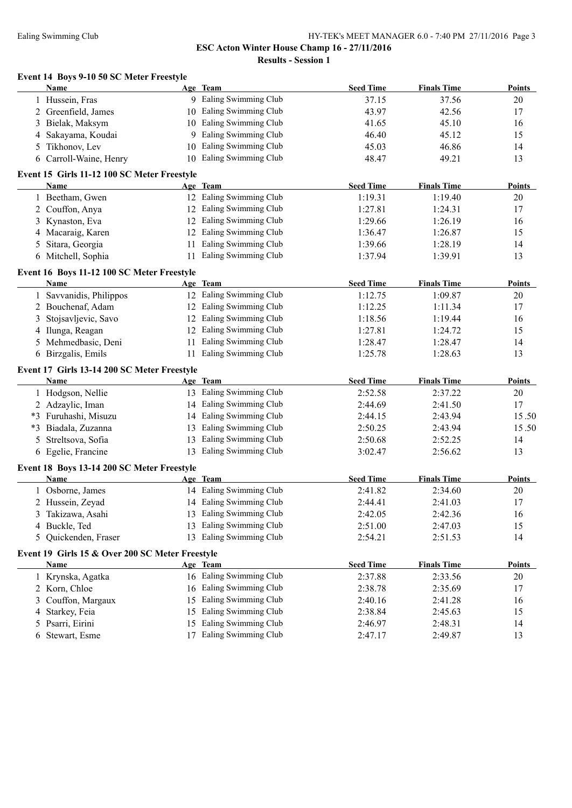# Ealing Swimming Club HY-TEK's MEET MANAGER 6.0 - 7:40 PM 27/11/2016 Page 3

**ESC Acton Winter House Champ 16 - 27/11/2016**

**Results - Session 1**

|    | Event 14 Boys 9-10 50 SC Meter Freestyle                       |                         |                  |                    |               |
|----|----------------------------------------------------------------|-------------------------|------------------|--------------------|---------------|
|    | <b>Name</b>                                                    | Age Team                | <b>Seed Time</b> | <b>Finals Time</b> | <b>Points</b> |
|    | 1 Hussein, Fras                                                | 9 Ealing Swimming Club  | 37.15            | 37.56              | 20            |
|    | 2 Greenfield, James                                            | 10 Ealing Swimming Club | 43.97            | 42.56              | 17            |
|    | 3 Bielak, Maksym                                               | 10 Ealing Swimming Club | 41.65            | 45.10              | 16            |
|    | 4 Sakayama, Koudai                                             | 9 Ealing Swimming Club  | 46.40            | 45.12              | 15            |
|    | 5 Tikhonov, Lev                                                | 10 Ealing Swimming Club | 45.03            | 46.86              | 14            |
|    | 6 Carroll-Waine, Henry                                         | 10 Ealing Swimming Club | 48.47            | 49.21              | 13            |
|    | Event 15 Girls 11-12 100 SC Meter Freestyle                    |                         |                  |                    |               |
|    | Name                                                           | Age Team                | <b>Seed Time</b> | <b>Finals Time</b> | <b>Points</b> |
|    | 1 Beetham, Gwen                                                | 12 Ealing Swimming Club | 1:19.31          | 1:19.40            | 20            |
|    | 2 Couffon, Anya                                                | 12 Ealing Swimming Club | 1:27.81          | 1:24.31            | 17            |
|    | 3 Kynaston, Eva                                                | 12 Ealing Swimming Club | 1:29.66          | 1:26.19            | 16            |
|    | 4 Macaraig, Karen                                              | 12 Ealing Swimming Club | 1:36.47          | 1:26.87            | 15            |
|    | 5 Sitara, Georgia                                              | 11 Ealing Swimming Club | 1:39.66          | 1:28.19            | 14            |
|    | 6 Mitchell, Sophia                                             | 11 Ealing Swimming Club | 1:37.94          | 1:39.91            | 13            |
|    | Event 16 Boys 11-12 100 SC Meter Freestyle                     |                         |                  |                    |               |
|    | <b>Name</b>                                                    | Age Team                | <b>Seed Time</b> | <b>Finals Time</b> | <b>Points</b> |
|    | 1 Savvanidis, Philippos                                        | 12 Ealing Swimming Club | 1:12.75          | 1:09.87            | 20            |
|    | 2 Bouchenaf, Adam                                              | 12 Ealing Swimming Club | 1:12.25          | 1:11.34            | 17            |
|    | 3 Stojsavljevic, Savo                                          | 12 Ealing Swimming Club | 1:18.56          | 1:19.44            | 16            |
|    | 4 Ilunga, Reagan                                               | 12 Ealing Swimming Club | 1:27.81          | 1:24.72            | 15            |
|    | 5 Mehmedbasic, Deni                                            | 11 Ealing Swimming Club | 1:28.47          | 1:28.47            | 14            |
|    | 6 Birzgalis, Emils                                             | 11 Ealing Swimming Club | 1:25.78          | 1:28.63            | 13            |
|    | Event 17 Girls 13-14 200 SC Meter Freestyle                    |                         |                  |                    |               |
|    | <b>Name</b>                                                    | Age Team                | <b>Seed Time</b> | <b>Finals Time</b> | <b>Points</b> |
|    | 1 Hodgson, Nellie                                              | 13 Ealing Swimming Club | 2:52.58          | 2:37.22            | 20            |
|    | 2 Adzaylic, Iman                                               | 14 Ealing Swimming Club | 2:44.69          | 2:41.50            | 17            |
|    | *3 Furuhashi, Misuzu                                           | 14 Ealing Swimming Club | 2:44.15          | 2:43.94            | 15.50         |
|    | *3 Biadala, Zuzanna                                            | 13 Ealing Swimming Club | 2:50.25          | 2:43.94            | 15.50         |
| 5. | Streltsova, Sofia                                              | 13 Ealing Swimming Club | 2:50.68          | 2:52.25            | 14            |
|    | 6 Egelie, Francine                                             | 13 Ealing Swimming Club | 3:02.47          | 2:56.62            | 13            |
|    | Event 18 Boys 13-14 200 SC Meter Freestyle                     |                         |                  |                    |               |
|    | <b>Name</b>                                                    | Age Team                | <b>Seed Time</b> | <b>Finals Time</b> | <b>Points</b> |
|    | 1 Osborne, James                                               | 14 Ealing Swimming Club | 2:41.82          | 2:34.60            | 20            |
|    | 2 Hussein, Zeyad                                               | 14 Ealing Swimming Club | 2:44.41          | 2:41.03            | $17\,$        |
|    | 3 Takizawa, Asahi                                              | 13 Ealing Swimming Club | 2:42.05          | 2:42.36            | 16            |
|    | 4 Buckle, Ted                                                  | 13 Ealing Swimming Club | 2:51.00          | 2:47.03            | 15            |
|    | 5 Quickenden, Fraser                                           | 13 Ealing Swimming Club | 2:54.21          | 2:51.53            | 14            |
|    |                                                                |                         |                  |                    |               |
|    | Event 19 Girls 15 & Over 200 SC Meter Freestyle<br><b>Name</b> | Age Team                | <b>Seed Time</b> | <b>Finals Time</b> | <b>Points</b> |
|    | 1 Krynska, Agatka                                              | 16 Ealing Swimming Club | 2:37.88          | 2:33.56            | 20            |
|    | 2 Korn, Chloe                                                  | 16 Ealing Swimming Club | 2:38.78          | 2:35.69            | 17            |
|    | 3 Couffon, Margaux                                             | 15 Ealing Swimming Club | 2:40.16          | 2:41.28            | 16            |
|    | 4 Starkey, Feia                                                | 15 Ealing Swimming Club | 2:38.84          | 2:45.63            | 15            |
|    | 5 Psarri, Eirini                                               | 15 Ealing Swimming Club |                  | 2:48.31            | 14            |
|    |                                                                |                         | 2:46.97          |                    |               |

Stewart, Esme 17 Ealing Swimming Club 2:47.17 2:49.87 13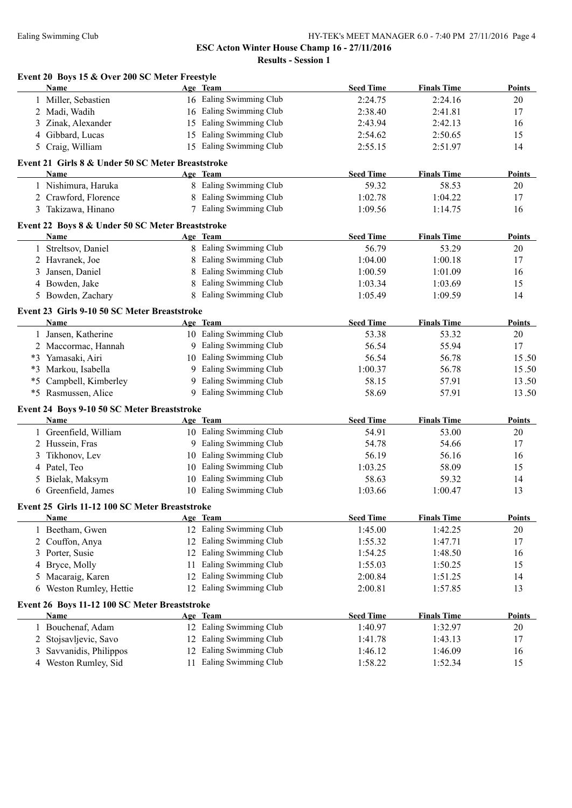**Results - Session 1**

|      | Event 20 Boys 15 & Over 200 SC Meter Freestyle<br>Name |    | Age Team                | <b>Seed Time</b> | <b>Finals Time</b> | Points        |
|------|--------------------------------------------------------|----|-------------------------|------------------|--------------------|---------------|
|      | 1 Miller, Sebastien                                    |    | 16 Ealing Swimming Club | 2:24.75          | 2:24.16            | 20            |
|      | 2 Madi, Wadih                                          |    | 16 Ealing Swimming Club | 2:38.40          | 2:41.81            | 17            |
|      | Zinak, Alexander                                       | 15 | Ealing Swimming Club    | 2:43.94          | 2:42.13            | 16            |
| 4    | Gibbard, Lucas                                         | 15 | Ealing Swimming Club    | 2:54.62          | 2:50.65            | 15            |
| 5.   | Craig, William                                         |    | 15 Ealing Swimming Club | 2:55.15          | 2:51.97            | 14            |
|      | Event 21 Girls 8 & Under 50 SC Meter Breaststroke      |    |                         |                  |                    |               |
|      | <b>Name</b>                                            |    | Age Team                | <b>Seed Time</b> | <b>Finals Time</b> | Points        |
|      | 1 Nishimura, Haruka                                    |    | 8 Ealing Swimming Club  | 59.32            | 58.53              | 20            |
|      | 2 Crawford, Florence                                   |    | 8 Ealing Swimming Club  | 1:02.78          | 1:04.22            | 17            |
|      | 3 Takizawa, Hinano                                     |    | 7 Ealing Swimming Club  | 1:09.56          | 1:14.75            | 16            |
|      | Event 22 Boys 8 & Under 50 SC Meter Breaststroke       |    |                         |                  |                    |               |
|      | <b>Name</b>                                            |    | Age Team                | <b>Seed Time</b> | <b>Finals Time</b> | <b>Points</b> |
|      | 1 Streltsov, Daniel                                    |    | 8 Ealing Swimming Club  | 56.79            | 53.29              | 20            |
|      | 2 Havranek, Joe                                        |    | 8 Ealing Swimming Club  | 1:04.00          | 1:00.18            | 17            |
| 3    | Jansen, Daniel                                         | 8  | Ealing Swimming Club    | 1:00.59          | 1:01.09            | 16            |
|      | 4 Bowden, Jake                                         |    | Ealing Swimming Club    | 1:03.34          | 1:03.69            | 15            |
|      | 5 Bowden, Zachary                                      |    | 8 Ealing Swimming Club  | 1:05.49          | 1:09.59            | 14            |
|      | Event 23 Girls 9-10 50 SC Meter Breaststroke           |    |                         |                  |                    |               |
|      | Name                                                   |    | Age Team                | <b>Seed Time</b> | <b>Finals Time</b> | Points        |
|      | 1 Jansen, Katherine                                    |    | 10 Ealing Swimming Club | 53.38            | 53.32              | 20            |
|      | 2 Maccormac, Hannah                                    |    | 9 Ealing Swimming Club  | 56.54            | 55.94              | 17            |
|      | *3 Yamasaki, Airi                                      |    | 10 Ealing Swimming Club | 56.54            | 56.78              | 15.50         |
| $*3$ | Markou, Isabella                                       |    | 9 Ealing Swimming Club  | 1:00.37          | 56.78              | 15.50         |
| $*5$ | Campbell, Kimberley                                    |    | 9 Ealing Swimming Club  | 58.15            | 57.91              | 13.50         |
| $*5$ | Rasmussen, Alice                                       |    | 9 Ealing Swimming Club  | 58.69            | 57.91              | 13.50         |
|      | Event 24 Boys 9-10 50 SC Meter Breaststroke            |    |                         |                  |                    |               |
|      | Name                                                   |    | Age Team                | <b>Seed Time</b> | <b>Finals Time</b> | <b>Points</b> |
|      | 1 Greenfield, William                                  |    | 10 Ealing Swimming Club | 54.91            | 53.00              | 20            |
|      | 2 Hussein, Fras                                        |    | 9 Ealing Swimming Club  | 54.78            | 54.66              | 17            |
| 3    | Tikhonov, Lev                                          |    | 10 Ealing Swimming Club | 56.19            | 56.16              | 16            |
| 4    | Patel, Teo                                             |    | 10 Ealing Swimming Club | 1:03.25          | 58.09              | 15            |
| 5    | Bielak, Maksym                                         |    | 10 Ealing Swimming Club | 58.63            | 59.32              | 14            |
|      | 6 Greenfield, James                                    |    | 10 Ealing Swimming Club | 1:03.66          | 1:00.47            | 13            |
|      | Event 25 Girls 11-12 100 SC Meter Breaststroke         |    |                         |                  |                    |               |
|      | Name                                                   |    | Age Team                | <b>Seed Time</b> | <b>Finals Time</b> | <b>Points</b> |
|      | 1 Beetham, Gwen                                        |    | 12 Ealing Swimming Club | 1:45.00          | 1:42.25            | 20            |
| 2    | Couffon, Anya                                          |    | 12 Ealing Swimming Club | 1:55.32          | 1:47.71            | 17            |
| 3    | Porter, Susie                                          |    | 12 Ealing Swimming Club | 1:54.25          | 1:48.50            | 16            |
| 4    | Bryce, Molly                                           | 11 | Ealing Swimming Club    | 1:55.03          | 1:50.25            | 15            |
| 5    | Macaraig, Karen                                        |    | 12 Ealing Swimming Club | 2:00.84          | 1:51.25            | 14            |
| 6    | Weston Rumley, Hettie                                  |    | 12 Ealing Swimming Club | 2:00.81          | 1:57.85            | 13            |
|      | Event 26 Boys 11-12 100 SC Meter Breaststroke          |    |                         |                  |                    |               |
|      | <b>Name</b>                                            |    | Age Team                | <b>Seed Time</b> | <b>Finals Time</b> | <b>Points</b> |
|      | 1 Bouchenaf, Adam                                      |    | 12 Ealing Swimming Club | 1:40.97          | 1:32.97            | 20            |
| 2    | Stojsavljevic, Savo                                    |    | 12 Ealing Swimming Club | 1:41.78          | 1:43.13            | 17            |
| 3    | Savvanidis, Philippos                                  |    | 12 Ealing Swimming Club | 1:46.12          | 1:46.09            | 16            |
|      | 4 Weston Rumley, Sid                                   |    | 11 Ealing Swimming Club | 1:58.22          | 1:52.34            | 15            |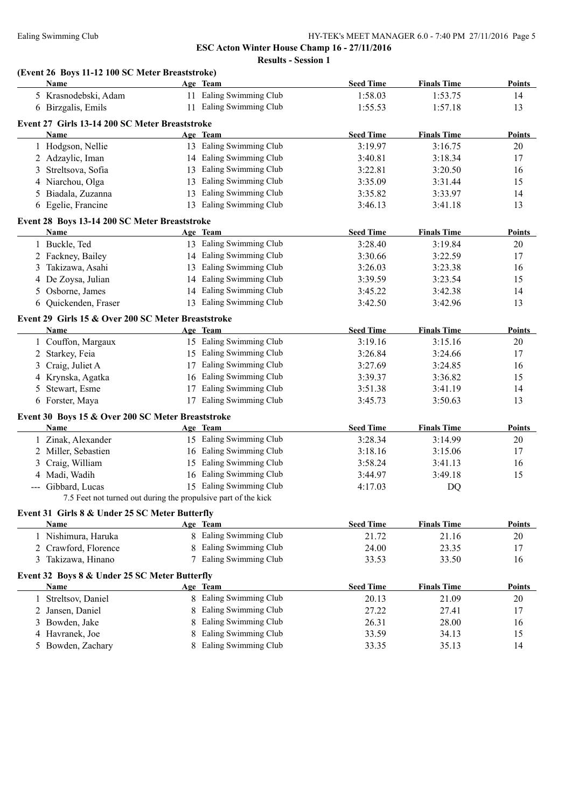**ESC Acton Winter House Champ 16 - 27/11/2016 Results - Session 1**

# **(Event 26 Boys 11-12 100 SC Meter Breaststroke)**

|    | <u>Name</u>                                                    | Age Team |                         | <b>Seed Time</b> | <b>Finals Time</b> | <b>Points</b> |
|----|----------------------------------------------------------------|----------|-------------------------|------------------|--------------------|---------------|
|    | 5 Krasnodebski, Adam                                           |          | 11 Ealing Swimming Club | 1:58.03          | 1:53.75            | 14            |
|    | 6 Birzgalis, Emils                                             |          | 11 Ealing Swimming Club | 1:55.53          | 1:57.18            | 13            |
|    | Event 27 Girls 13-14 200 SC Meter Breaststroke                 |          |                         |                  |                    |               |
|    | Name                                                           | Age Team |                         | <b>Seed Time</b> | <b>Finals Time</b> | <b>Points</b> |
|    | 1 Hodgson, Nellie                                              |          | 13 Ealing Swimming Club | 3:19.97          | 3:16.75            | 20            |
|    | 2 Adzaylic, Iman                                               |          | 14 Ealing Swimming Club | 3:40.81          | 3:18.34            | 17            |
|    | 3 Streltsova, Sofia                                            |          | 13 Ealing Swimming Club | 3:22.81          | 3:20.50            | 16            |
|    | 4 Niarchou, Olga                                               |          | 13 Ealing Swimming Club | 3:35.09          | 3:31.44            | 15            |
|    | 5 Biadala, Zuzanna                                             |          | 13 Ealing Swimming Club | 3:35.82          | 3:33.97            | 14            |
|    | 6 Egelie, Francine                                             |          | 13 Ealing Swimming Club | 3:46.13          | 3:41.18            | 13            |
|    |                                                                |          |                         |                  |                    |               |
|    | Event 28 Boys 13-14 200 SC Meter Breaststroke                  |          |                         |                  |                    |               |
|    | Name                                                           | Age Team |                         | <b>Seed Time</b> | <b>Finals Time</b> | <b>Points</b> |
|    | 1 Buckle, Ted                                                  |          | 13 Ealing Swimming Club | 3:28.40          | 3:19.84            | 20            |
|    | 2 Fackney, Bailey                                              |          | 14 Ealing Swimming Club | 3:30.66          | 3:22.59            | 17            |
|    | 3 Takizawa, Asahi                                              |          | 13 Ealing Swimming Club | 3:26.03          | 3:23.38            | 16            |
|    | 4 De Zoysa, Julian                                             |          | 14 Ealing Swimming Club | 3:39.59          | 3:23.54            | 15            |
|    | 5 Osborne, James                                               |          | 14 Ealing Swimming Club | 3:45.22          | 3:42.38            | 14            |
|    | 6 Quickenden, Fraser                                           |          | 13 Ealing Swimming Club | 3:42.50          | 3:42.96            | 13            |
|    | Event 29 Girls 15 & Over 200 SC Meter Breaststroke             |          |                         |                  |                    |               |
|    | Name                                                           | Age Team |                         | <b>Seed Time</b> | <b>Finals Time</b> | <b>Points</b> |
|    | 1 Couffon, Margaux                                             |          | 15 Ealing Swimming Club | 3:19.16          | 3:15.16            | 20            |
|    | 2 Starkey, Feia                                                |          | 15 Ealing Swimming Club | 3:26.84          | 3:24.66            | 17            |
|    | 3 Craig, Juliet A                                              |          | 17 Ealing Swimming Club | 3:27.69          | 3:24.85            | 16            |
|    | 4 Krynska, Agatka                                              |          | 16 Ealing Swimming Club | 3:39.37          | 3:36.82            | 15            |
|    | 5 Stewart, Esme                                                |          | 17 Ealing Swimming Club | 3:51.38          | 3:41.19            | 14            |
|    | 6 Forster, Maya                                                |          | 17 Ealing Swimming Club | 3:45.73          | 3:50.63            | 13            |
|    |                                                                |          |                         |                  |                    |               |
|    | Event 30 Boys 15 & Over 200 SC Meter Breaststroke              |          |                         |                  |                    |               |
|    | <b>Name</b>                                                    | Age Team |                         | <b>Seed Time</b> | <b>Finals Time</b> | <b>Points</b> |
|    | 1 Zinak, Alexander                                             |          | 15 Ealing Swimming Club | 3:28.34          | 3:14.99            | 20            |
|    | 2 Miller, Sebastien                                            |          | 16 Ealing Swimming Club | 3:18.16          | 3:15.06            | 17            |
|    | 3 Craig, William                                               |          | 15 Ealing Swimming Club | 3:58.24          | 3:41.13            | 16            |
|    | 4 Madi, Wadih                                                  |          | 16 Ealing Swimming Club | 3:44.97          | 3:49.18            | 15            |
|    | --- Gibbard, Lucas                                             |          | 15 Ealing Swimming Club | 4:17.03          | DQ                 |               |
|    | 7.5 Feet not turned out during the propulsive part of the kick |          |                         |                  |                    |               |
|    | Event 31 Girls 8 & Under 25 SC Meter Butterfly                 |          |                         |                  |                    |               |
|    | Name                                                           | Age Team |                         | <b>Seed Time</b> | <b>Finals Time</b> | <b>Points</b> |
|    | 1 Nishimura, Haruka                                            |          | 8 Ealing Swimming Club  | 21.72            | 21.16              | 20            |
|    | 2 Crawford, Florence                                           |          | 8 Ealing Swimming Club  | 24.00            | 23.35              | 17            |
|    | 3 Takizawa, Hinano                                             |          | 7 Ealing Swimming Club  | 33.53            | 33.50              | 16            |
|    | Event 32 Boys 8 & Under 25 SC Meter Butterfly                  |          |                         |                  |                    |               |
|    | Name                                                           | Age Team |                         | <b>Seed Time</b> | <b>Finals Time</b> | <b>Points</b> |
|    | 1 Streltsov, Daniel                                            |          | 8 Ealing Swimming Club  | 20.13            | 21.09              | 20            |
| 2  | Jansen, Daniel                                                 | 8        | Ealing Swimming Club    | 27.22            | 27.41              | 17            |
| 3  | Bowden, Jake                                                   | 8        | Ealing Swimming Club    | 26.31            | 28.00              | 16            |
|    | 4 Havranek, Joe                                                | 8        | Ealing Swimming Club    | 33.59            | 34.13              | 15            |
|    | Bowden, Zachary                                                |          | 8 Ealing Swimming Club  | 33.35            | 35.13              | 14            |
| 5. |                                                                |          |                         |                  |                    |               |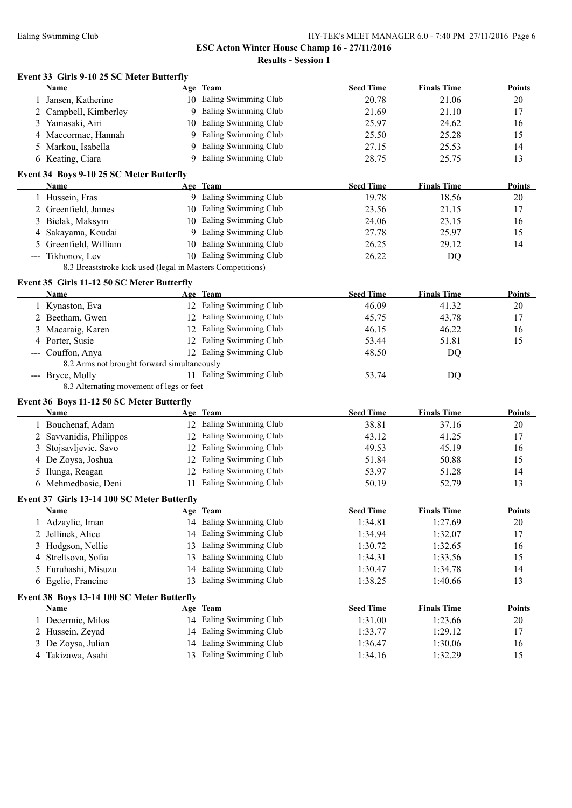**Results - Session 1**

## **Event 33 Girls 9-10 25 SC Meter Butterfly**

|   | <b>Name</b>                                                |    | Age Team                | <b>Seed Time</b>   | <b>Finals Time</b> | <b>Points</b> |
|---|------------------------------------------------------------|----|-------------------------|--------------------|--------------------|---------------|
|   | Jansen, Katherine                                          |    | 10 Ealing Swimming Club | 20.78              | 21.06              | 20            |
|   | 2 Campbell, Kimberley                                      |    | 9 Ealing Swimming Club  | 21.69              | 21.10              | 17            |
|   | 3 Yamasaki, Airi                                           |    | 10 Ealing Swimming Club | 25.97              | 24.62              | 16            |
|   | 4 Maccormac, Hannah                                        |    | 9 Ealing Swimming Club  | 25.50              | 25.28              | 15            |
|   | 5 Markou, Isabella                                         |    | 9 Ealing Swimming Club  | 27.15              | 25.53              | 14            |
|   | 6 Keating, Ciara                                           |    | 9 Ealing Swimming Club  | 28.75              | 25.75              | 13            |
|   |                                                            |    |                         |                    |                    |               |
|   | Event 34 Boys 9-10 25 SC Meter Butterfly<br>Name           |    | Age Team                |                    |                    |               |
|   |                                                            |    | 9 Ealing Swimming Club  | <b>Seed Time</b>   | <b>Finals Time</b> | <b>Points</b> |
|   | 1 Hussein, Fras                                            |    |                         | 19.78              | 18.56              | 20            |
|   | 2 Greenfield, James                                        |    | 10 Ealing Swimming Club | 23.56              | 21.15              | 17            |
|   | 3 Bielak, Maksym                                           |    | 10 Ealing Swimming Club | 24.06              | 23.15              | 16            |
| 4 | Sakayama, Koudai                                           |    | 9 Ealing Swimming Club  | 27.78              | 25.97              | 15            |
|   | Greenfield, William                                        |    | 10 Ealing Swimming Club | 26.25              | 29.12              | 14            |
|   | --- Tikhonov, Lev                                          |    | 10 Ealing Swimming Club | 26.22              | DQ                 |               |
|   | 8.3 Breaststroke kick used (legal in Masters Competitions) |    |                         |                    |                    |               |
|   | Event 35 Girls 11-12 50 SC Meter Butterfly                 |    |                         |                    |                    |               |
|   | Name                                                       |    | Age Team                | <b>Seed Time</b>   | <b>Finals Time</b> | <b>Points</b> |
|   | 1 Kynaston, Eva                                            |    | 12 Ealing Swimming Club | 46.09              | 41.32              | 20            |
|   | 2 Beetham, Gwen                                            |    | 12 Ealing Swimming Club | 45.75              | 43.78              | 17            |
|   | 3 Macaraig, Karen                                          |    | 12 Ealing Swimming Club | 46.15              | 46.22              | 16            |
|   | 4 Porter, Susie                                            |    | 12 Ealing Swimming Club | 53.44              | 51.81              | 15            |
|   | --- Couffon, Anya                                          |    | 12 Ealing Swimming Club | 48.50              | DQ                 |               |
|   | 8.2 Arms not brought forward simultaneously                |    |                         |                    |                    |               |
|   | --- Bryce, Molly                                           |    | 11 Ealing Swimming Club | 53.74              | DQ                 |               |
|   | 8.3 Alternating movement of legs or feet                   |    |                         |                    |                    |               |
|   | Event 36 Boys 11-12 50 SC Meter Butterfly                  |    |                         |                    |                    |               |
|   | Name                                                       |    | Age Team                | <b>Seed Time</b>   | <b>Finals Time</b> | <b>Points</b> |
|   | 1 Bouchenaf, Adam                                          |    | 12 Ealing Swimming Club | 38.81              | 37.16              | 20            |
|   | 2 Savvanidis, Philippos                                    |    | 12 Ealing Swimming Club | 43.12              | 41.25              | 17            |
| 3 | Stojsavljevic, Savo                                        |    | 12 Ealing Swimming Club | 49.53              | 45.19              | 16            |
|   | 4 De Zoysa, Joshua                                         |    | 12 Ealing Swimming Club | 51.84              | 50.88              | 15            |
| 5 | Ilunga, Reagan                                             |    | 12 Ealing Swimming Club | 53.97              | 51.28              | 14            |
|   | 6 Mehmedbasic, Deni                                        |    | 11 Ealing Swimming Club | 50.19              | 52.79              | 13            |
|   | Event 37 Girls 13-14 100 SC Meter Butterfly                |    |                         |                    |                    |               |
|   | <b>Name</b>                                                |    | Age Team                | <b>Seed Time</b>   | <b>Finals Time</b> | Points        |
|   | 1 Adzaylic, Iman                                           |    | 14 Ealing Swimming Club | 1:34.81            | 1:27.69            | $20\,$        |
| 2 | Jellinek, Alice                                            | 14 | Ealing Swimming Club    | 1:34.94            | 1:32.07            | 17            |
|   | Hodgson, Nellie                                            | 13 | Ealing Swimming Club    | 1:30.72            | 1:32.65            |               |
| 3 |                                                            |    | Ealing Swimming Club    |                    | 1:33.56            | 16            |
| 4 | Streltsova, Sofia                                          | 13 | Ealing Swimming Club    | 1:34.31<br>1:30.47 | 1:34.78            | 15            |
| 5 | Furuhashi, Misuzu                                          | 14 | Ealing Swimming Club    |                    |                    | 14            |
|   | 6 Egelie, Francine                                         | 13 |                         | 1:38.25            | 1:40.66            | 13            |
|   | Event 38 Boys 13-14 100 SC Meter Butterfly                 |    |                         |                    |                    |               |
|   | Name                                                       |    | Age Team                | <b>Seed Time</b>   | <b>Finals Time</b> | <b>Points</b> |
|   | 1 Decermic, Milos                                          |    | 14 Ealing Swimming Club | 1:31.00            | 1:23.66            | 20            |
|   | 2 Hussein, Zeyad                                           |    | 14 Ealing Swimming Club | 1:33.77            | 1:29.12            | 17            |
| 3 | De Zoysa, Julian                                           | 14 | Ealing Swimming Club    | 1:36.47            | 1:30.06            | 16            |
|   | 4 Takizawa, Asahi                                          |    | 13 Ealing Swimming Club | 1:34.16            | 1:32.29            | 15            |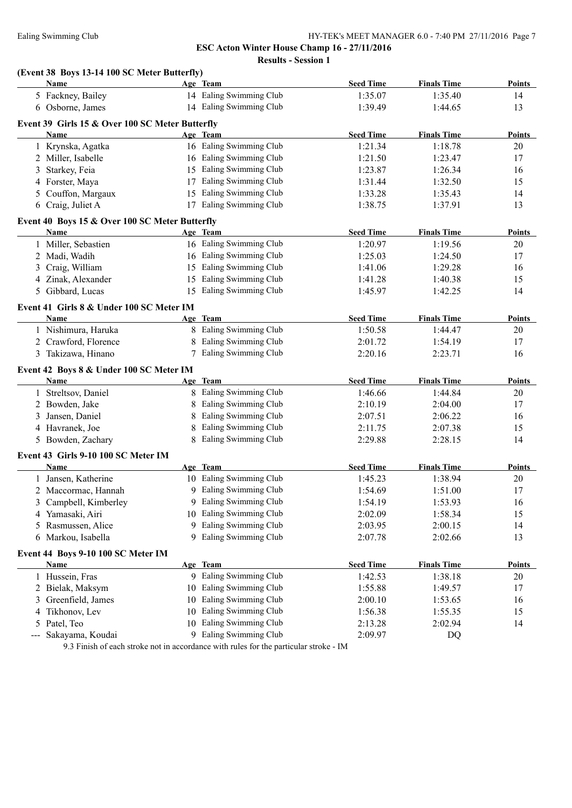**Results - Session 1**

#### **(Event 38 Boys 13-14 100 SC Meter Butterfly)**

| 14 Ealing Swimming Club<br>5 Fackney, Bailey<br>1:35.07<br>1:35.40<br>14<br>14 Ealing Swimming Club<br>6 Osborne, James<br>1:39.49<br>1:44.65<br>13<br>Event 39 Girls 15 & Over 100 SC Meter Butterfly<br><b>Seed Time</b><br><b>Finals Time</b><br><b>Points</b><br>Age Team<br>Name<br>16 Ealing Swimming Club<br>1 Krynska, Agatka<br>1:21.34<br>1:18.78<br>20<br>16 Ealing Swimming Club<br>2 Miller, Isabelle<br>1:21.50<br>1:23.47<br>17<br>15 Ealing Swimming Club<br>Starkey, Feia<br>1:23.87<br>1:26.34<br>16<br>3<br>4 Forster, Maya<br>17 Ealing Swimming Club<br>1:31.44<br>1:32.50<br>15<br>15 Ealing Swimming Club<br>5 Couffon, Margaux<br>1:33.28<br>1:35.43<br>14<br>17 Ealing Swimming Club<br>6 Craig, Juliet A<br>13<br>1:38.75<br>1:37.91<br>Event 40 Boys 15 & Over 100 SC Meter Butterfly<br><b>Seed Time</b><br><b>Finals Time</b><br><b>Points</b><br>Name<br>Age Team<br>1 Miller, Sebastien<br>16 Ealing Swimming Club<br>1:20.97<br>1:19.56<br>20<br>2 Madi, Wadih<br>16 Ealing Swimming Club<br>1:25.03<br>1:24.50<br>17<br>15 Ealing Swimming Club<br>3 Craig, William<br>1:41.06<br>1:29.28<br>16<br>Ealing Swimming Club<br>4 Zinak, Alexander<br>15<br>1:41.28<br>1:40.38<br>15<br>15 Ealing Swimming Club<br>5 Gibbard, Lucas<br>1:45.97<br>1:42.25<br>14<br>Event 41 Girls 8 & Under 100 SC Meter IM<br>Age Team<br><b>Seed Time</b><br><b>Finals Time</b><br><b>Name</b><br><b>Points</b><br>8 Ealing Swimming Club<br>1 Nishimura, Haruka<br>1:50.58<br>20<br>1:44.47<br>2 Crawford, Florence<br>8 Ealing Swimming Club<br>17<br>2:01.72<br>1:54.19<br>7 Ealing Swimming Club<br>3 Takizawa, Hinano<br>2:20.16<br>2:23.71<br>16<br>Event 42 Boys 8 & Under 100 SC Meter IM<br>Age Team<br><b>Seed Time</b><br><b>Finals Time</b><br>Name<br>1 Streltsov, Daniel<br>8 Ealing Swimming Club<br>1:46.66<br>1:44.84<br>20<br>Ealing Swimming Club<br>2 Bowden, Jake<br>2:10.19<br>2:04.00<br>17<br>Ealing Swimming Club<br>3 Jansen, Daniel<br>2:07.51<br>2:06.22<br>16<br>Ealing Swimming Club<br>4 Havranek, Joe<br>2:11.75<br>2:07.38<br>15<br>8 Ealing Swimming Club<br>5 Bowden, Zachary<br>2:29.88<br>2:28.15<br>14<br>Event 43 Girls 9-10 100 SC Meter IM<br><b>Seed Time</b><br><b>Finals Time</b><br>Name<br>Age Team<br>10 Ealing Swimming Club<br>1 Jansen, Katherine<br>1:45.23<br>1:38.94<br>20<br>9 Ealing Swimming Club<br>2 Maccormac, Hannah<br>1:54.69<br>1:51.00<br>17<br>9 Ealing Swimming Club<br>3 Campbell, Kimberley<br>1:54.19<br>1:53.93<br>16<br>10 Ealing Swimming Club<br>15<br>4 Yamasaki, Airi<br>2:02.09<br>1:58.34<br>9 Ealing Swimming Club<br>Rasmussen, Alice<br>2:00.15<br>14<br>2:03.95<br>5.<br>9 Ealing Swimming Club<br>6 Markou, Isabella<br>2:02.66<br>13<br>2:07.78<br>Event 44 Boys 9-10 100 SC Meter IM<br><b>Seed Time</b><br><b>Finals Time</b><br><b>Points</b><br>Name<br>Age Team<br>9 Ealing Swimming Club<br>1:38.18<br>1 Hussein, Fras<br>1:42.53<br>20<br>Ealing Swimming Club<br>2 Bielak, Maksym<br>1:55.88<br>1:49.57<br>17<br>10<br>Ealing Swimming Club<br>Greenfield, James<br>2:00.10<br>1:53.65<br>10<br>16<br>3<br>Ealing Swimming Club<br>Tikhonov, Lev<br>1:56.38<br>1:55.35<br>10<br>15<br>4<br>Ealing Swimming Club<br>5 Patel, Teo<br>2:13.28<br>2:02.94<br>14<br>10<br>9 Ealing Swimming Club<br>$---$ | <u>Name</u>      | Age Team | <b>Seed Time</b> | <b>Finals Time</b> | <b>Points</b> |
|---------------------------------------------------------------------------------------------------------------------------------------------------------------------------------------------------------------------------------------------------------------------------------------------------------------------------------------------------------------------------------------------------------------------------------------------------------------------------------------------------------------------------------------------------------------------------------------------------------------------------------------------------------------------------------------------------------------------------------------------------------------------------------------------------------------------------------------------------------------------------------------------------------------------------------------------------------------------------------------------------------------------------------------------------------------------------------------------------------------------------------------------------------------------------------------------------------------------------------------------------------------------------------------------------------------------------------------------------------------------------------------------------------------------------------------------------------------------------------------------------------------------------------------------------------------------------------------------------------------------------------------------------------------------------------------------------------------------------------------------------------------------------------------------------------------------------------------------------------------------------------------------------------------------------------------------------------------------------------------------------------------------------------------------------------------------------------------------------------------------------------------------------------------------------------------------------------------------------------------------------------------------------------------------------------------------------------------------------------------------------------------------------------------------------------------------------------------------------------------------------------------------------------------------------------------------------------------------------------------------------------------------------------------------------------------------------------------------------------------------------------------------------------------------------------------------------------------------------------------------------------------------------------------------------------------------------------------------------------------------------------------------------------------------------------------------------------------------------------------------------------------------------------------------------------------------------------------------------------------------------------------------------------------------------------------|------------------|----------|------------------|--------------------|---------------|
|                                                                                                                                                                                                                                                                                                                                                                                                                                                                                                                                                                                                                                                                                                                                                                                                                                                                                                                                                                                                                                                                                                                                                                                                                                                                                                                                                                                                                                                                                                                                                                                                                                                                                                                                                                                                                                                                                                                                                                                                                                                                                                                                                                                                                                                                                                                                                                                                                                                                                                                                                                                                                                                                                                                                                                                                                                                                                                                                                                                                                                                                                                                                                                                                                                                                                                               |                  |          |                  |                    |               |
|                                                                                                                                                                                                                                                                                                                                                                                                                                                                                                                                                                                                                                                                                                                                                                                                                                                                                                                                                                                                                                                                                                                                                                                                                                                                                                                                                                                                                                                                                                                                                                                                                                                                                                                                                                                                                                                                                                                                                                                                                                                                                                                                                                                                                                                                                                                                                                                                                                                                                                                                                                                                                                                                                                                                                                                                                                                                                                                                                                                                                                                                                                                                                                                                                                                                                                               |                  |          |                  |                    |               |
|                                                                                                                                                                                                                                                                                                                                                                                                                                                                                                                                                                                                                                                                                                                                                                                                                                                                                                                                                                                                                                                                                                                                                                                                                                                                                                                                                                                                                                                                                                                                                                                                                                                                                                                                                                                                                                                                                                                                                                                                                                                                                                                                                                                                                                                                                                                                                                                                                                                                                                                                                                                                                                                                                                                                                                                                                                                                                                                                                                                                                                                                                                                                                                                                                                                                                                               |                  |          |                  |                    |               |
|                                                                                                                                                                                                                                                                                                                                                                                                                                                                                                                                                                                                                                                                                                                                                                                                                                                                                                                                                                                                                                                                                                                                                                                                                                                                                                                                                                                                                                                                                                                                                                                                                                                                                                                                                                                                                                                                                                                                                                                                                                                                                                                                                                                                                                                                                                                                                                                                                                                                                                                                                                                                                                                                                                                                                                                                                                                                                                                                                                                                                                                                                                                                                                                                                                                                                                               |                  |          |                  |                    |               |
|                                                                                                                                                                                                                                                                                                                                                                                                                                                                                                                                                                                                                                                                                                                                                                                                                                                                                                                                                                                                                                                                                                                                                                                                                                                                                                                                                                                                                                                                                                                                                                                                                                                                                                                                                                                                                                                                                                                                                                                                                                                                                                                                                                                                                                                                                                                                                                                                                                                                                                                                                                                                                                                                                                                                                                                                                                                                                                                                                                                                                                                                                                                                                                                                                                                                                                               |                  |          |                  |                    |               |
|                                                                                                                                                                                                                                                                                                                                                                                                                                                                                                                                                                                                                                                                                                                                                                                                                                                                                                                                                                                                                                                                                                                                                                                                                                                                                                                                                                                                                                                                                                                                                                                                                                                                                                                                                                                                                                                                                                                                                                                                                                                                                                                                                                                                                                                                                                                                                                                                                                                                                                                                                                                                                                                                                                                                                                                                                                                                                                                                                                                                                                                                                                                                                                                                                                                                                                               |                  |          |                  |                    |               |
|                                                                                                                                                                                                                                                                                                                                                                                                                                                                                                                                                                                                                                                                                                                                                                                                                                                                                                                                                                                                                                                                                                                                                                                                                                                                                                                                                                                                                                                                                                                                                                                                                                                                                                                                                                                                                                                                                                                                                                                                                                                                                                                                                                                                                                                                                                                                                                                                                                                                                                                                                                                                                                                                                                                                                                                                                                                                                                                                                                                                                                                                                                                                                                                                                                                                                                               |                  |          |                  |                    |               |
|                                                                                                                                                                                                                                                                                                                                                                                                                                                                                                                                                                                                                                                                                                                                                                                                                                                                                                                                                                                                                                                                                                                                                                                                                                                                                                                                                                                                                                                                                                                                                                                                                                                                                                                                                                                                                                                                                                                                                                                                                                                                                                                                                                                                                                                                                                                                                                                                                                                                                                                                                                                                                                                                                                                                                                                                                                                                                                                                                                                                                                                                                                                                                                                                                                                                                                               |                  |          |                  |                    |               |
|                                                                                                                                                                                                                                                                                                                                                                                                                                                                                                                                                                                                                                                                                                                                                                                                                                                                                                                                                                                                                                                                                                                                                                                                                                                                                                                                                                                                                                                                                                                                                                                                                                                                                                                                                                                                                                                                                                                                                                                                                                                                                                                                                                                                                                                                                                                                                                                                                                                                                                                                                                                                                                                                                                                                                                                                                                                                                                                                                                                                                                                                                                                                                                                                                                                                                                               |                  |          |                  |                    |               |
|                                                                                                                                                                                                                                                                                                                                                                                                                                                                                                                                                                                                                                                                                                                                                                                                                                                                                                                                                                                                                                                                                                                                                                                                                                                                                                                                                                                                                                                                                                                                                                                                                                                                                                                                                                                                                                                                                                                                                                                                                                                                                                                                                                                                                                                                                                                                                                                                                                                                                                                                                                                                                                                                                                                                                                                                                                                                                                                                                                                                                                                                                                                                                                                                                                                                                                               |                  |          |                  |                    |               |
|                                                                                                                                                                                                                                                                                                                                                                                                                                                                                                                                                                                                                                                                                                                                                                                                                                                                                                                                                                                                                                                                                                                                                                                                                                                                                                                                                                                                                                                                                                                                                                                                                                                                                                                                                                                                                                                                                                                                                                                                                                                                                                                                                                                                                                                                                                                                                                                                                                                                                                                                                                                                                                                                                                                                                                                                                                                                                                                                                                                                                                                                                                                                                                                                                                                                                                               |                  |          |                  |                    |               |
|                                                                                                                                                                                                                                                                                                                                                                                                                                                                                                                                                                                                                                                                                                                                                                                                                                                                                                                                                                                                                                                                                                                                                                                                                                                                                                                                                                                                                                                                                                                                                                                                                                                                                                                                                                                                                                                                                                                                                                                                                                                                                                                                                                                                                                                                                                                                                                                                                                                                                                                                                                                                                                                                                                                                                                                                                                                                                                                                                                                                                                                                                                                                                                                                                                                                                                               |                  |          |                  |                    |               |
|                                                                                                                                                                                                                                                                                                                                                                                                                                                                                                                                                                                                                                                                                                                                                                                                                                                                                                                                                                                                                                                                                                                                                                                                                                                                                                                                                                                                                                                                                                                                                                                                                                                                                                                                                                                                                                                                                                                                                                                                                                                                                                                                                                                                                                                                                                                                                                                                                                                                                                                                                                                                                                                                                                                                                                                                                                                                                                                                                                                                                                                                                                                                                                                                                                                                                                               |                  |          |                  |                    |               |
|                                                                                                                                                                                                                                                                                                                                                                                                                                                                                                                                                                                                                                                                                                                                                                                                                                                                                                                                                                                                                                                                                                                                                                                                                                                                                                                                                                                                                                                                                                                                                                                                                                                                                                                                                                                                                                                                                                                                                                                                                                                                                                                                                                                                                                                                                                                                                                                                                                                                                                                                                                                                                                                                                                                                                                                                                                                                                                                                                                                                                                                                                                                                                                                                                                                                                                               |                  |          |                  |                    |               |
|                                                                                                                                                                                                                                                                                                                                                                                                                                                                                                                                                                                                                                                                                                                                                                                                                                                                                                                                                                                                                                                                                                                                                                                                                                                                                                                                                                                                                                                                                                                                                                                                                                                                                                                                                                                                                                                                                                                                                                                                                                                                                                                                                                                                                                                                                                                                                                                                                                                                                                                                                                                                                                                                                                                                                                                                                                                                                                                                                                                                                                                                                                                                                                                                                                                                                                               |                  |          |                  |                    |               |
|                                                                                                                                                                                                                                                                                                                                                                                                                                                                                                                                                                                                                                                                                                                                                                                                                                                                                                                                                                                                                                                                                                                                                                                                                                                                                                                                                                                                                                                                                                                                                                                                                                                                                                                                                                                                                                                                                                                                                                                                                                                                                                                                                                                                                                                                                                                                                                                                                                                                                                                                                                                                                                                                                                                                                                                                                                                                                                                                                                                                                                                                                                                                                                                                                                                                                                               |                  |          |                  |                    |               |
|                                                                                                                                                                                                                                                                                                                                                                                                                                                                                                                                                                                                                                                                                                                                                                                                                                                                                                                                                                                                                                                                                                                                                                                                                                                                                                                                                                                                                                                                                                                                                                                                                                                                                                                                                                                                                                                                                                                                                                                                                                                                                                                                                                                                                                                                                                                                                                                                                                                                                                                                                                                                                                                                                                                                                                                                                                                                                                                                                                                                                                                                                                                                                                                                                                                                                                               |                  |          |                  |                    |               |
|                                                                                                                                                                                                                                                                                                                                                                                                                                                                                                                                                                                                                                                                                                                                                                                                                                                                                                                                                                                                                                                                                                                                                                                                                                                                                                                                                                                                                                                                                                                                                                                                                                                                                                                                                                                                                                                                                                                                                                                                                                                                                                                                                                                                                                                                                                                                                                                                                                                                                                                                                                                                                                                                                                                                                                                                                                                                                                                                                                                                                                                                                                                                                                                                                                                                                                               |                  |          |                  |                    |               |
|                                                                                                                                                                                                                                                                                                                                                                                                                                                                                                                                                                                                                                                                                                                                                                                                                                                                                                                                                                                                                                                                                                                                                                                                                                                                                                                                                                                                                                                                                                                                                                                                                                                                                                                                                                                                                                                                                                                                                                                                                                                                                                                                                                                                                                                                                                                                                                                                                                                                                                                                                                                                                                                                                                                                                                                                                                                                                                                                                                                                                                                                                                                                                                                                                                                                                                               |                  |          |                  |                    |               |
|                                                                                                                                                                                                                                                                                                                                                                                                                                                                                                                                                                                                                                                                                                                                                                                                                                                                                                                                                                                                                                                                                                                                                                                                                                                                                                                                                                                                                                                                                                                                                                                                                                                                                                                                                                                                                                                                                                                                                                                                                                                                                                                                                                                                                                                                                                                                                                                                                                                                                                                                                                                                                                                                                                                                                                                                                                                                                                                                                                                                                                                                                                                                                                                                                                                                                                               |                  |          |                  |                    |               |
|                                                                                                                                                                                                                                                                                                                                                                                                                                                                                                                                                                                                                                                                                                                                                                                                                                                                                                                                                                                                                                                                                                                                                                                                                                                                                                                                                                                                                                                                                                                                                                                                                                                                                                                                                                                                                                                                                                                                                                                                                                                                                                                                                                                                                                                                                                                                                                                                                                                                                                                                                                                                                                                                                                                                                                                                                                                                                                                                                                                                                                                                                                                                                                                                                                                                                                               |                  |          |                  |                    |               |
|                                                                                                                                                                                                                                                                                                                                                                                                                                                                                                                                                                                                                                                                                                                                                                                                                                                                                                                                                                                                                                                                                                                                                                                                                                                                                                                                                                                                                                                                                                                                                                                                                                                                                                                                                                                                                                                                                                                                                                                                                                                                                                                                                                                                                                                                                                                                                                                                                                                                                                                                                                                                                                                                                                                                                                                                                                                                                                                                                                                                                                                                                                                                                                                                                                                                                                               |                  |          |                  |                    |               |
|                                                                                                                                                                                                                                                                                                                                                                                                                                                                                                                                                                                                                                                                                                                                                                                                                                                                                                                                                                                                                                                                                                                                                                                                                                                                                                                                                                                                                                                                                                                                                                                                                                                                                                                                                                                                                                                                                                                                                                                                                                                                                                                                                                                                                                                                                                                                                                                                                                                                                                                                                                                                                                                                                                                                                                                                                                                                                                                                                                                                                                                                                                                                                                                                                                                                                                               |                  |          |                  |                    |               |
|                                                                                                                                                                                                                                                                                                                                                                                                                                                                                                                                                                                                                                                                                                                                                                                                                                                                                                                                                                                                                                                                                                                                                                                                                                                                                                                                                                                                                                                                                                                                                                                                                                                                                                                                                                                                                                                                                                                                                                                                                                                                                                                                                                                                                                                                                                                                                                                                                                                                                                                                                                                                                                                                                                                                                                                                                                                                                                                                                                                                                                                                                                                                                                                                                                                                                                               |                  |          |                  |                    |               |
|                                                                                                                                                                                                                                                                                                                                                                                                                                                                                                                                                                                                                                                                                                                                                                                                                                                                                                                                                                                                                                                                                                                                                                                                                                                                                                                                                                                                                                                                                                                                                                                                                                                                                                                                                                                                                                                                                                                                                                                                                                                                                                                                                                                                                                                                                                                                                                                                                                                                                                                                                                                                                                                                                                                                                                                                                                                                                                                                                                                                                                                                                                                                                                                                                                                                                                               |                  |          |                  |                    | <b>Points</b> |
|                                                                                                                                                                                                                                                                                                                                                                                                                                                                                                                                                                                                                                                                                                                                                                                                                                                                                                                                                                                                                                                                                                                                                                                                                                                                                                                                                                                                                                                                                                                                                                                                                                                                                                                                                                                                                                                                                                                                                                                                                                                                                                                                                                                                                                                                                                                                                                                                                                                                                                                                                                                                                                                                                                                                                                                                                                                                                                                                                                                                                                                                                                                                                                                                                                                                                                               |                  |          |                  |                    |               |
|                                                                                                                                                                                                                                                                                                                                                                                                                                                                                                                                                                                                                                                                                                                                                                                                                                                                                                                                                                                                                                                                                                                                                                                                                                                                                                                                                                                                                                                                                                                                                                                                                                                                                                                                                                                                                                                                                                                                                                                                                                                                                                                                                                                                                                                                                                                                                                                                                                                                                                                                                                                                                                                                                                                                                                                                                                                                                                                                                                                                                                                                                                                                                                                                                                                                                                               |                  |          |                  |                    |               |
|                                                                                                                                                                                                                                                                                                                                                                                                                                                                                                                                                                                                                                                                                                                                                                                                                                                                                                                                                                                                                                                                                                                                                                                                                                                                                                                                                                                                                                                                                                                                                                                                                                                                                                                                                                                                                                                                                                                                                                                                                                                                                                                                                                                                                                                                                                                                                                                                                                                                                                                                                                                                                                                                                                                                                                                                                                                                                                                                                                                                                                                                                                                                                                                                                                                                                                               |                  |          |                  |                    |               |
|                                                                                                                                                                                                                                                                                                                                                                                                                                                                                                                                                                                                                                                                                                                                                                                                                                                                                                                                                                                                                                                                                                                                                                                                                                                                                                                                                                                                                                                                                                                                                                                                                                                                                                                                                                                                                                                                                                                                                                                                                                                                                                                                                                                                                                                                                                                                                                                                                                                                                                                                                                                                                                                                                                                                                                                                                                                                                                                                                                                                                                                                                                                                                                                                                                                                                                               |                  |          |                  |                    |               |
|                                                                                                                                                                                                                                                                                                                                                                                                                                                                                                                                                                                                                                                                                                                                                                                                                                                                                                                                                                                                                                                                                                                                                                                                                                                                                                                                                                                                                                                                                                                                                                                                                                                                                                                                                                                                                                                                                                                                                                                                                                                                                                                                                                                                                                                                                                                                                                                                                                                                                                                                                                                                                                                                                                                                                                                                                                                                                                                                                                                                                                                                                                                                                                                                                                                                                                               |                  |          |                  |                    |               |
|                                                                                                                                                                                                                                                                                                                                                                                                                                                                                                                                                                                                                                                                                                                                                                                                                                                                                                                                                                                                                                                                                                                                                                                                                                                                                                                                                                                                                                                                                                                                                                                                                                                                                                                                                                                                                                                                                                                                                                                                                                                                                                                                                                                                                                                                                                                                                                                                                                                                                                                                                                                                                                                                                                                                                                                                                                                                                                                                                                                                                                                                                                                                                                                                                                                                                                               |                  |          |                  |                    |               |
|                                                                                                                                                                                                                                                                                                                                                                                                                                                                                                                                                                                                                                                                                                                                                                                                                                                                                                                                                                                                                                                                                                                                                                                                                                                                                                                                                                                                                                                                                                                                                                                                                                                                                                                                                                                                                                                                                                                                                                                                                                                                                                                                                                                                                                                                                                                                                                                                                                                                                                                                                                                                                                                                                                                                                                                                                                                                                                                                                                                                                                                                                                                                                                                                                                                                                                               |                  |          |                  |                    | <b>Points</b> |
|                                                                                                                                                                                                                                                                                                                                                                                                                                                                                                                                                                                                                                                                                                                                                                                                                                                                                                                                                                                                                                                                                                                                                                                                                                                                                                                                                                                                                                                                                                                                                                                                                                                                                                                                                                                                                                                                                                                                                                                                                                                                                                                                                                                                                                                                                                                                                                                                                                                                                                                                                                                                                                                                                                                                                                                                                                                                                                                                                                                                                                                                                                                                                                                                                                                                                                               |                  |          |                  |                    |               |
|                                                                                                                                                                                                                                                                                                                                                                                                                                                                                                                                                                                                                                                                                                                                                                                                                                                                                                                                                                                                                                                                                                                                                                                                                                                                                                                                                                                                                                                                                                                                                                                                                                                                                                                                                                                                                                                                                                                                                                                                                                                                                                                                                                                                                                                                                                                                                                                                                                                                                                                                                                                                                                                                                                                                                                                                                                                                                                                                                                                                                                                                                                                                                                                                                                                                                                               |                  |          |                  |                    |               |
|                                                                                                                                                                                                                                                                                                                                                                                                                                                                                                                                                                                                                                                                                                                                                                                                                                                                                                                                                                                                                                                                                                                                                                                                                                                                                                                                                                                                                                                                                                                                                                                                                                                                                                                                                                                                                                                                                                                                                                                                                                                                                                                                                                                                                                                                                                                                                                                                                                                                                                                                                                                                                                                                                                                                                                                                                                                                                                                                                                                                                                                                                                                                                                                                                                                                                                               |                  |          |                  |                    |               |
|                                                                                                                                                                                                                                                                                                                                                                                                                                                                                                                                                                                                                                                                                                                                                                                                                                                                                                                                                                                                                                                                                                                                                                                                                                                                                                                                                                                                                                                                                                                                                                                                                                                                                                                                                                                                                                                                                                                                                                                                                                                                                                                                                                                                                                                                                                                                                                                                                                                                                                                                                                                                                                                                                                                                                                                                                                                                                                                                                                                                                                                                                                                                                                                                                                                                                                               |                  |          |                  |                    |               |
|                                                                                                                                                                                                                                                                                                                                                                                                                                                                                                                                                                                                                                                                                                                                                                                                                                                                                                                                                                                                                                                                                                                                                                                                                                                                                                                                                                                                                                                                                                                                                                                                                                                                                                                                                                                                                                                                                                                                                                                                                                                                                                                                                                                                                                                                                                                                                                                                                                                                                                                                                                                                                                                                                                                                                                                                                                                                                                                                                                                                                                                                                                                                                                                                                                                                                                               |                  |          |                  |                    |               |
|                                                                                                                                                                                                                                                                                                                                                                                                                                                                                                                                                                                                                                                                                                                                                                                                                                                                                                                                                                                                                                                                                                                                                                                                                                                                                                                                                                                                                                                                                                                                                                                                                                                                                                                                                                                                                                                                                                                                                                                                                                                                                                                                                                                                                                                                                                                                                                                                                                                                                                                                                                                                                                                                                                                                                                                                                                                                                                                                                                                                                                                                                                                                                                                                                                                                                                               |                  |          |                  |                    |               |
|                                                                                                                                                                                                                                                                                                                                                                                                                                                                                                                                                                                                                                                                                                                                                                                                                                                                                                                                                                                                                                                                                                                                                                                                                                                                                                                                                                                                                                                                                                                                                                                                                                                                                                                                                                                                                                                                                                                                                                                                                                                                                                                                                                                                                                                                                                                                                                                                                                                                                                                                                                                                                                                                                                                                                                                                                                                                                                                                                                                                                                                                                                                                                                                                                                                                                                               |                  |          |                  |                    |               |
|                                                                                                                                                                                                                                                                                                                                                                                                                                                                                                                                                                                                                                                                                                                                                                                                                                                                                                                                                                                                                                                                                                                                                                                                                                                                                                                                                                                                                                                                                                                                                                                                                                                                                                                                                                                                                                                                                                                                                                                                                                                                                                                                                                                                                                                                                                                                                                                                                                                                                                                                                                                                                                                                                                                                                                                                                                                                                                                                                                                                                                                                                                                                                                                                                                                                                                               |                  |          |                  |                    |               |
|                                                                                                                                                                                                                                                                                                                                                                                                                                                                                                                                                                                                                                                                                                                                                                                                                                                                                                                                                                                                                                                                                                                                                                                                                                                                                                                                                                                                                                                                                                                                                                                                                                                                                                                                                                                                                                                                                                                                                                                                                                                                                                                                                                                                                                                                                                                                                                                                                                                                                                                                                                                                                                                                                                                                                                                                                                                                                                                                                                                                                                                                                                                                                                                                                                                                                                               |                  |          |                  |                    |               |
|                                                                                                                                                                                                                                                                                                                                                                                                                                                                                                                                                                                                                                                                                                                                                                                                                                                                                                                                                                                                                                                                                                                                                                                                                                                                                                                                                                                                                                                                                                                                                                                                                                                                                                                                                                                                                                                                                                                                                                                                                                                                                                                                                                                                                                                                                                                                                                                                                                                                                                                                                                                                                                                                                                                                                                                                                                                                                                                                                                                                                                                                                                                                                                                                                                                                                                               |                  |          |                  |                    |               |
|                                                                                                                                                                                                                                                                                                                                                                                                                                                                                                                                                                                                                                                                                                                                                                                                                                                                                                                                                                                                                                                                                                                                                                                                                                                                                                                                                                                                                                                                                                                                                                                                                                                                                                                                                                                                                                                                                                                                                                                                                                                                                                                                                                                                                                                                                                                                                                                                                                                                                                                                                                                                                                                                                                                                                                                                                                                                                                                                                                                                                                                                                                                                                                                                                                                                                                               |                  |          |                  |                    |               |
|                                                                                                                                                                                                                                                                                                                                                                                                                                                                                                                                                                                                                                                                                                                                                                                                                                                                                                                                                                                                                                                                                                                                                                                                                                                                                                                                                                                                                                                                                                                                                                                                                                                                                                                                                                                                                                                                                                                                                                                                                                                                                                                                                                                                                                                                                                                                                                                                                                                                                                                                                                                                                                                                                                                                                                                                                                                                                                                                                                                                                                                                                                                                                                                                                                                                                                               |                  |          |                  |                    |               |
|                                                                                                                                                                                                                                                                                                                                                                                                                                                                                                                                                                                                                                                                                                                                                                                                                                                                                                                                                                                                                                                                                                                                                                                                                                                                                                                                                                                                                                                                                                                                                                                                                                                                                                                                                                                                                                                                                                                                                                                                                                                                                                                                                                                                                                                                                                                                                                                                                                                                                                                                                                                                                                                                                                                                                                                                                                                                                                                                                                                                                                                                                                                                                                                                                                                                                                               |                  |          |                  |                    |               |
|                                                                                                                                                                                                                                                                                                                                                                                                                                                                                                                                                                                                                                                                                                                                                                                                                                                                                                                                                                                                                                                                                                                                                                                                                                                                                                                                                                                                                                                                                                                                                                                                                                                                                                                                                                                                                                                                                                                                                                                                                                                                                                                                                                                                                                                                                                                                                                                                                                                                                                                                                                                                                                                                                                                                                                                                                                                                                                                                                                                                                                                                                                                                                                                                                                                                                                               | Sakayama, Koudai |          | 2:09.97          | DQ                 |               |

9.3 Finish of each stroke not in accordance with rules for the particular stroke - IM